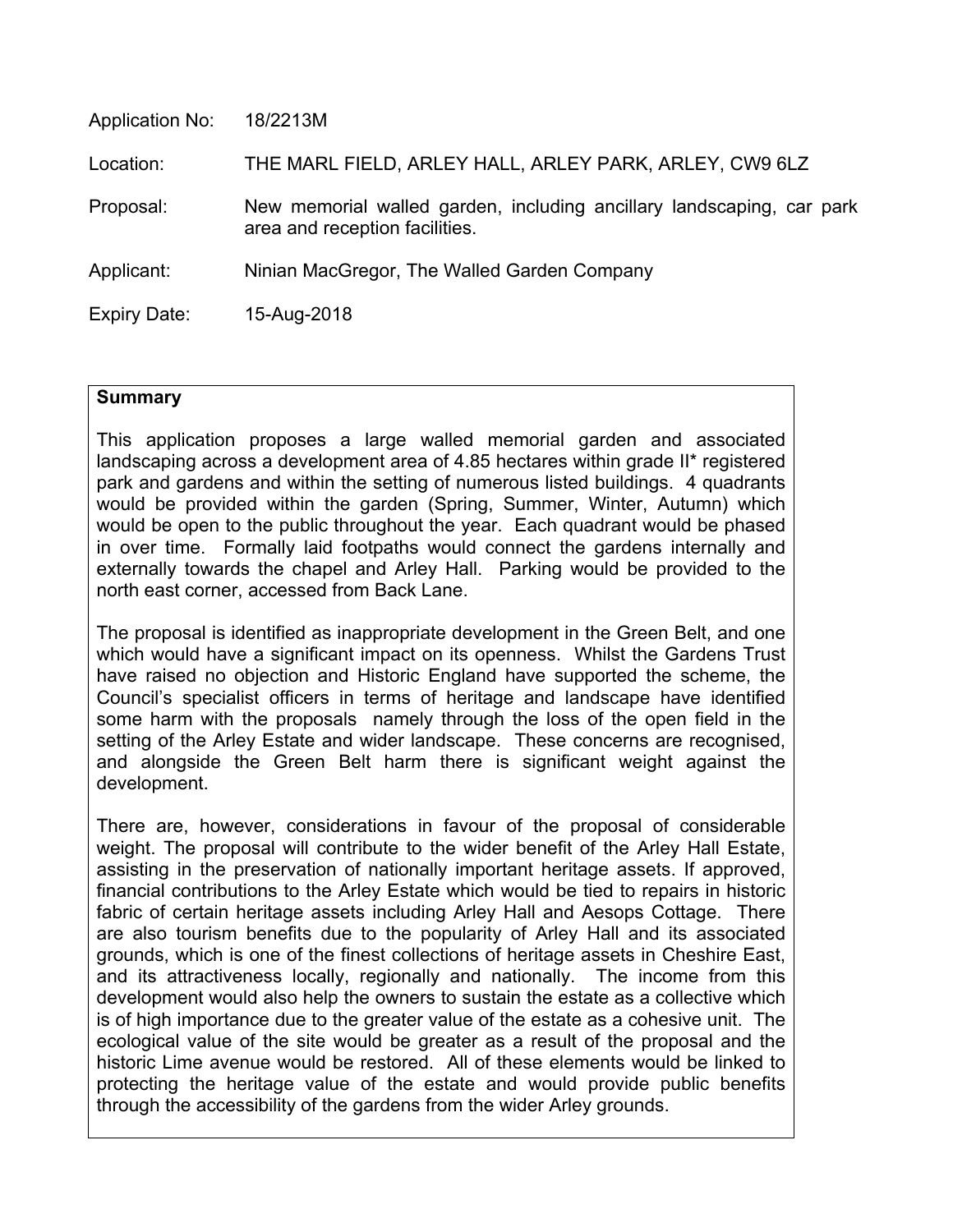| Application No:     | 18/2213M                                                                                                |
|---------------------|---------------------------------------------------------------------------------------------------------|
| Location:           | THE MARL FIELD, ARLEY HALL, ARLEY PARK, ARLEY, CW9 6LZ                                                  |
| Proposal:           | New memorial walled garden, including ancillary landscaping, car park<br>area and reception facilities. |
| Applicant:          | Ninian MacGregor, The Walled Garden Company                                                             |
| <b>Expiry Date:</b> | 15-Aug-2018                                                                                             |
|                     |                                                                                                         |

#### **Summary**

This application proposes a large walled memorial garden and associated landscaping across a development area of 4.85 hectares within grade II\* registered park and gardens and within the setting of numerous listed buildings. 4 quadrants would be provided within the garden (Spring, Summer, Winter, Autumn) which would be open to the public throughout the year. Each quadrant would be phased in over time. Formally laid footpaths would connect the gardens internally and externally towards the chapel and Arley Hall. Parking would be provided to the north east corner, accessed from Back Lane.

The proposal is identified as inappropriate development in the Green Belt, and one which would have a significant impact on its openness. Whilst the Gardens Trust have raised no objection and Historic England have supported the scheme, the Council's specialist officers in terms of heritage and landscape have identified some harm with the proposals namely through the loss of the open field in the setting of the Arley Estate and wider landscape. These concerns are recognised, and alongside the Green Belt harm there is significant weight against the development.

There are, however, considerations in favour of the proposal of considerable weight. The proposal will contribute to the wider benefit of the Arley Hall Estate, assisting in the preservation of nationally important heritage assets. If approved, financial contributions to the Arley Estate which would be tied to repairs in historic fabric of certain heritage assets including Arley Hall and Aesops Cottage. There are also tourism benefits due to the popularity of Arley Hall and its associated grounds, which is one of the finest collections of heritage assets in Cheshire East, and its attractiveness locally, regionally and nationally. The income from this development would also help the owners to sustain the estate as a collective which is of high importance due to the greater value of the estate as a cohesive unit. The ecological value of the site would be greater as a result of the proposal and the historic Lime avenue would be restored. All of these elements would be linked to protecting the heritage value of the estate and would provide public benefits through the accessibility of the gardens from the wider Arley grounds.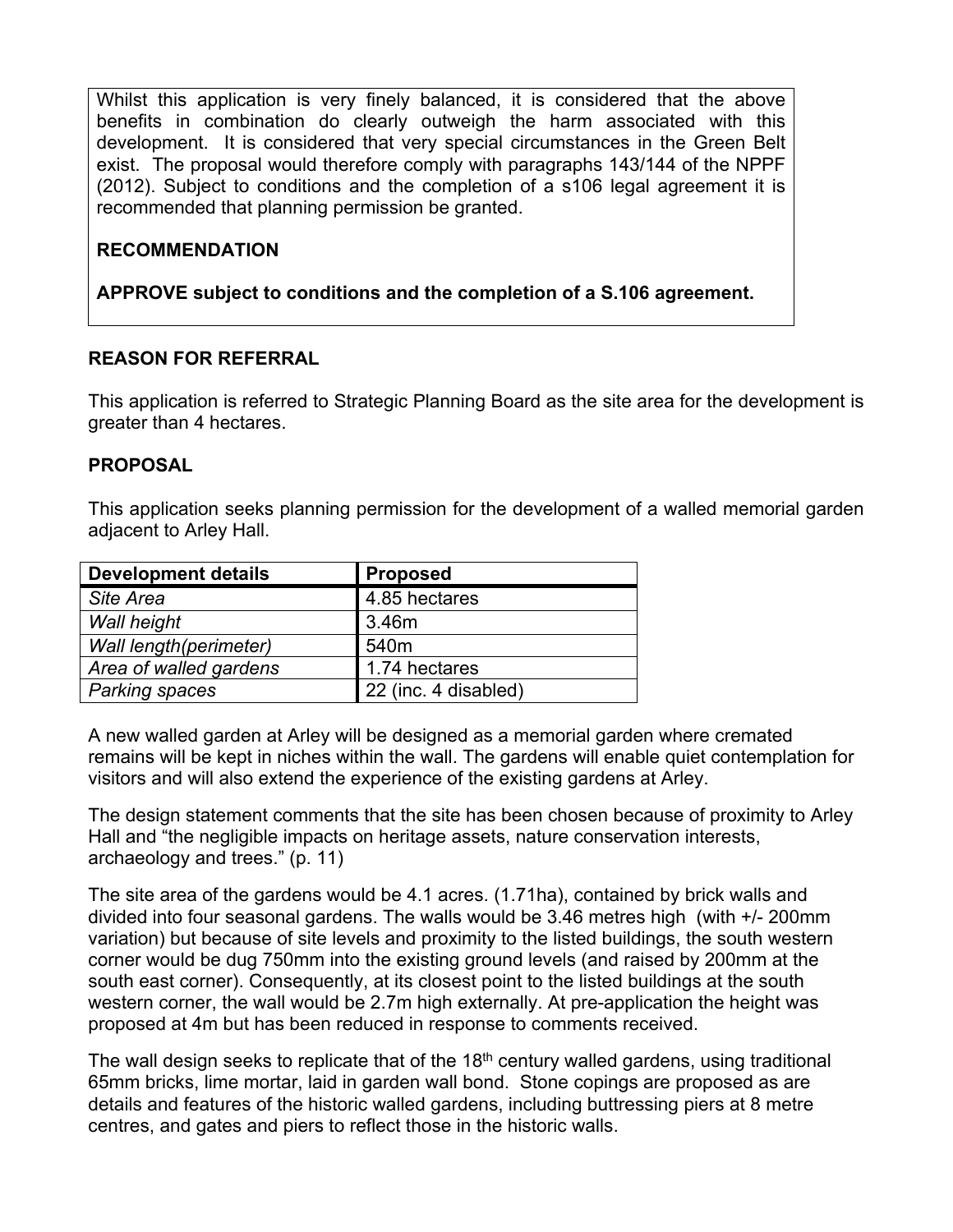Whilst this application is very finely balanced, it is considered that the above benefits in combination do clearly outweigh the harm associated with this development. It is considered that very special circumstances in the Green Belt exist. The proposal would therefore comply with paragraphs 143/144 of the NPPF (2012). Subject to conditions and the completion of a s106 legal agreement it is recommended that planning permission be granted.

# **RECOMMENDATION**

**APPROVE subject to conditions and the completion of a S.106 agreement.**

#### **REASON FOR REFERRAL**

This application is referred to Strategic Planning Board as the site area for the development is greater than 4 hectares.

#### **PROPOSAL**

This application seeks planning permission for the development of a walled memorial garden adjacent to Arley Hall.

| <b>Development details</b> | <b>Proposed</b>      |
|----------------------------|----------------------|
| Site Area                  | 4.85 hectares        |
| Wall height                | 3.46m                |
| Wall length(perimeter)     | 540 <sub>m</sub>     |
| Area of walled gardens     | 1.74 hectares        |
| <b>Parking spaces</b>      | 22 (inc. 4 disabled) |

A new walled garden at Arley will be designed as a memorial garden where cremated remains will be kept in niches within the wall. The gardens will enable quiet contemplation for visitors and will also extend the experience of the existing gardens at Arley.

The design statement comments that the site has been chosen because of proximity to Arley Hall and "the negligible impacts on heritage assets, nature conservation interests, archaeology and trees." (p. 11)

The site area of the gardens would be 4.1 acres. (1.71ha), contained by brick walls and divided into four seasonal gardens. The walls would be 3.46 metres high (with +/- 200mm variation) but because of site levels and proximity to the listed buildings, the south western corner would be dug 750mm into the existing ground levels (and raised by 200mm at the south east corner). Consequently, at its closest point to the listed buildings at the south western corner, the wall would be 2.7m high externally. At pre-application the height was proposed at 4m but has been reduced in response to comments received.

The wall design seeks to replicate that of the 18<sup>th</sup> century walled gardens, using traditional 65mm bricks, lime mortar, laid in garden wall bond. Stone copings are proposed as are details and features of the historic walled gardens, including buttressing piers at 8 metre centres, and gates and piers to reflect those in the historic walls.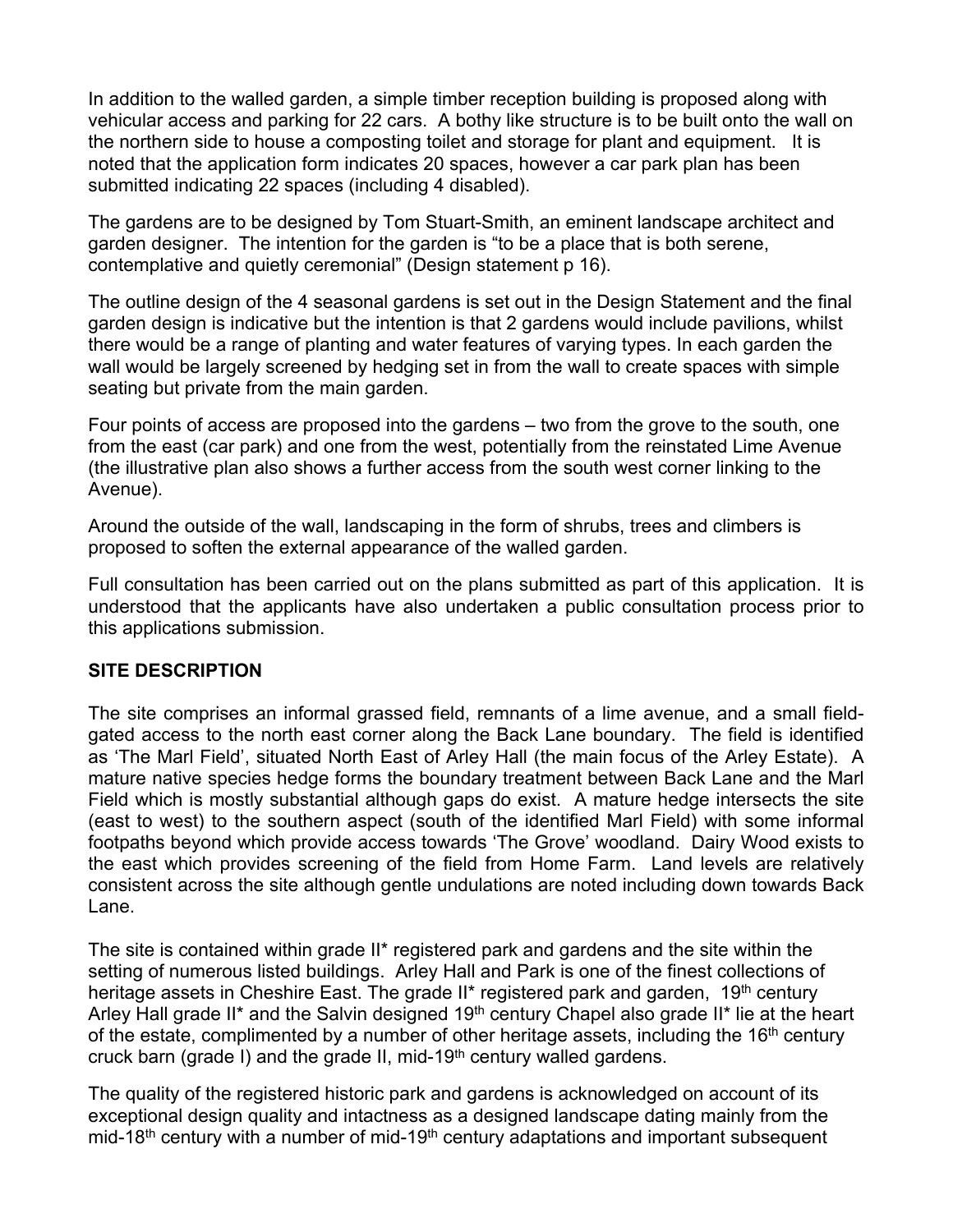In addition to the walled garden, a simple timber reception building is proposed along with vehicular access and parking for 22 cars. A bothy like structure is to be built onto the wall on the northern side to house a composting toilet and storage for plant and equipment. It is noted that the application form indicates 20 spaces, however a car park plan has been submitted indicating 22 spaces (including 4 disabled).

The gardens are to be designed by Tom Stuart-Smith, an eminent landscape architect and garden designer. The intention for the garden is "to be a place that is both serene, contemplative and quietly ceremonial" (Design statement p 16).

The outline design of the 4 seasonal gardens is set out in the Design Statement and the final garden design is indicative but the intention is that 2 gardens would include pavilions, whilst there would be a range of planting and water features of varying types. In each garden the wall would be largely screened by hedging set in from the wall to create spaces with simple seating but private from the main garden.

Four points of access are proposed into the gardens – two from the grove to the south, one from the east (car park) and one from the west, potentially from the reinstated Lime Avenue (the illustrative plan also shows a further access from the south west corner linking to the Avenue).

Around the outside of the wall, landscaping in the form of shrubs, trees and climbers is proposed to soften the external appearance of the walled garden.

Full consultation has been carried out on the plans submitted as part of this application. It is understood that the applicants have also undertaken a public consultation process prior to this applications submission.

#### **SITE DESCRIPTION**

The site comprises an informal grassed field, remnants of a lime avenue, and a small fieldgated access to the north east corner along the Back Lane boundary. The field is identified as 'The Marl Field', situated North East of Arley Hall (the main focus of the Arley Estate). A mature native species hedge forms the boundary treatment between Back Lane and the Marl Field which is mostly substantial although gaps do exist. A mature hedge intersects the site (east to west) to the southern aspect (south of the identified Marl Field) with some informal footpaths beyond which provide access towards 'The Grove' woodland. Dairy Wood exists to the east which provides screening of the field from Home Farm. Land levels are relatively consistent across the site although gentle undulations are noted including down towards Back Lane.

The site is contained within grade II\* registered park and gardens and the site within the setting of numerous listed buildings. Arley Hall and Park is one of the finest collections of heritage assets in Cheshire East. The grade II\* registered park and garden, 19<sup>th</sup> century Arley Hall grade II<sup>\*</sup> and the Salvin designed 19<sup>th</sup> century Chapel also grade II<sup>\*</sup> lie at the heart of the estate, complimented by a number of other heritage assets, including the  $16<sup>th</sup>$  century cruck barn (grade I) and the grade II, mid-19<sup>th</sup> century walled gardens.

The quality of the registered historic park and gardens is acknowledged on account of its exceptional design quality and intactness as a designed landscape dating mainly from the mid-18<sup>th</sup> century with a number of mid-19<sup>th</sup> century adaptations and important subsequent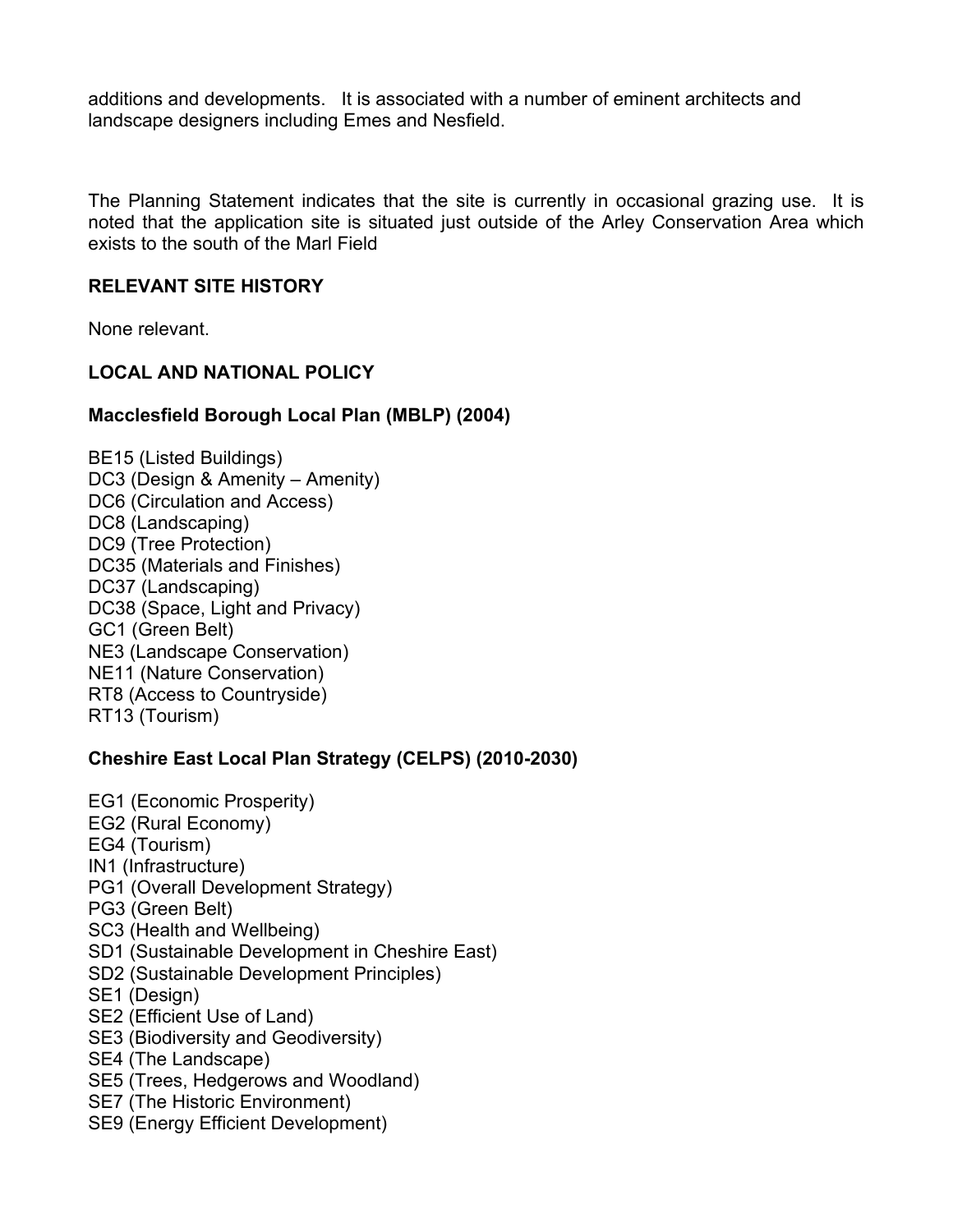additions and developments. It is associated with a number of eminent architects and landscape designers including Emes and Nesfield.

The Planning Statement indicates that the site is currently in occasional grazing use. It is noted that the application site is situated just outside of the Arley Conservation Area which exists to the south of the Marl Field

### **RELEVANT SITE HISTORY**

None relevant.

# **LOCAL AND NATIONAL POLICY**

# **Macclesfield Borough Local Plan (MBLP) (2004)**

BE15 (Listed Buildings) DC3 (Design & Amenity – Amenity) DC6 (Circulation and Access) DC8 (Landscaping) DC9 (Tree Protection) DC35 (Materials and Finishes) DC37 (Landscaping) DC38 (Space, Light and Privacy) GC1 (Green Belt) NE3 (Landscape Conservation) NE11 (Nature Conservation) RT8 (Access to Countryside) RT13 (Tourism)

# **Cheshire East Local Plan Strategy (CELPS) (2010-2030)**

EG1 (Economic Prosperity) EG2 (Rural Economy) EG4 (Tourism) IN1 (Infrastructure) PG1 (Overall Development Strategy) PG3 (Green Belt) SC3 (Health and Wellbeing) SD1 (Sustainable Development in Cheshire East) SD2 (Sustainable Development Principles) SE1 (Design) SE2 (Efficient Use of Land) SE3 (Biodiversity and Geodiversity) SE4 (The Landscape) SE5 (Trees, Hedgerows and Woodland) SE7 (The Historic Environment) SE9 (Energy Efficient Development)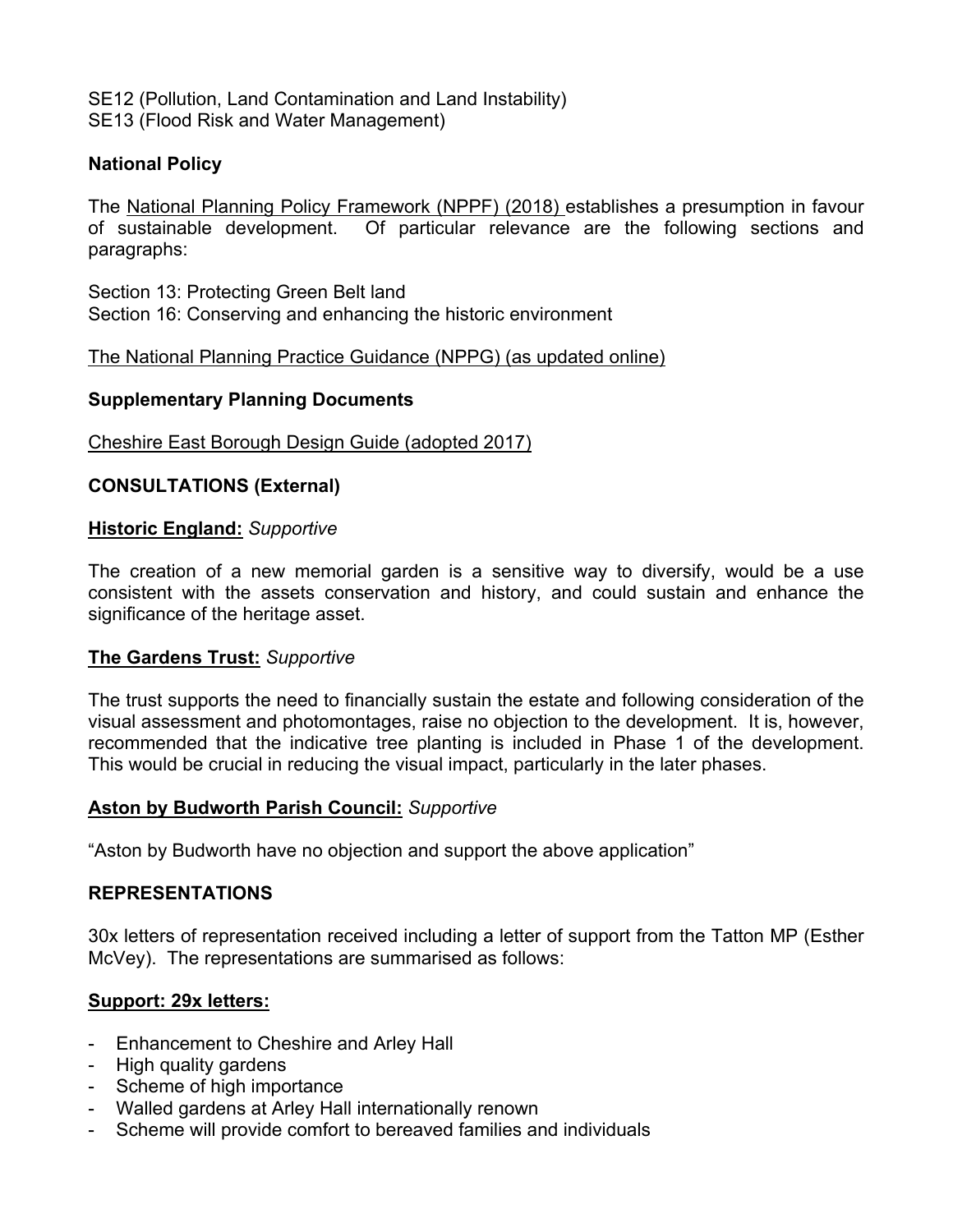SE12 (Pollution, Land Contamination and Land Instability) SE13 (Flood Risk and Water Management)

#### **National Policy**

The National Planning Policy Framework (NPPF) (2018) establishes a presumption in favour of sustainable development. Of particular relevance are the following sections and paragraphs:

Section 13: Protecting Green Belt land Section 16: Conserving and enhancing the historic environment

The National Planning Practice Guidance (NPPG) (as updated online)

### **Supplementary Planning Documents**

Cheshire East Borough Design Guide (adopted 2017)

### **CONSULTATIONS (External)**

#### **Historic England:** *Supportive*

The creation of a new memorial garden is a sensitive way to diversify, would be a use consistent with the assets conservation and history, and could sustain and enhance the significance of the heritage asset.

#### **The Gardens Trust:** *Supportive*

The trust supports the need to financially sustain the estate and following consideration of the visual assessment and photomontages, raise no objection to the development. It is, however, recommended that the indicative tree planting is included in Phase 1 of the development. This would be crucial in reducing the visual impact, particularly in the later phases.

#### **Aston by Budworth Parish Council:** *Supportive*

"Aston by Budworth have no objection and support the above application"

#### **REPRESENTATIONS**

30x letters of representation received including a letter of support from the Tatton MP (Esther McVey). The representations are summarised as follows:

# **Support: 29x letters:**

- Enhancement to Cheshire and Arley Hall
- High quality gardens
- Scheme of high importance
- Walled gardens at Arley Hall internationally renown
- Scheme will provide comfort to bereaved families and individuals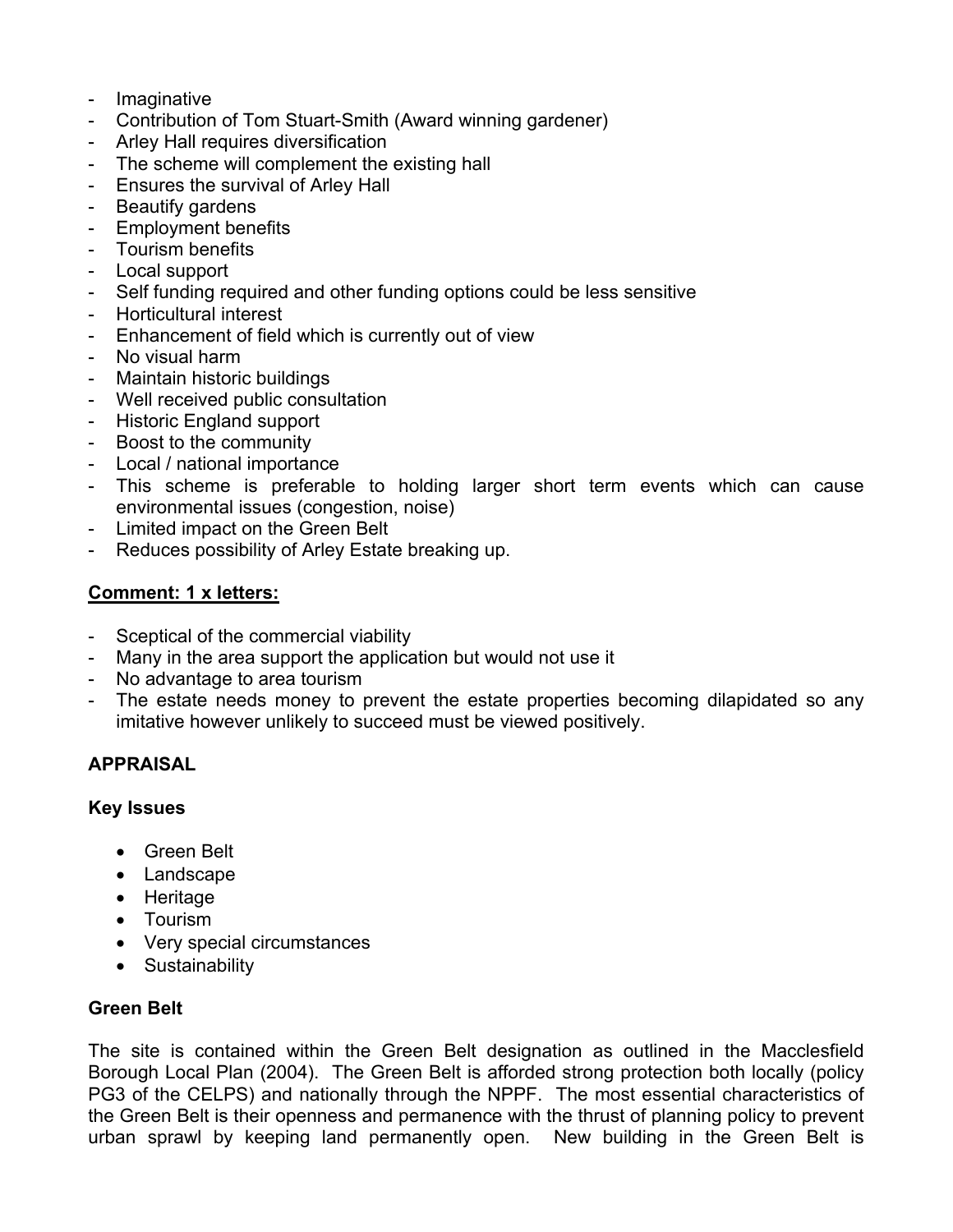- Imaginative
- Contribution of Tom Stuart-Smith (Award winning gardener)
- Arley Hall requires diversification
- The scheme will complement the existing hall
- Ensures the survival of Arley Hall
- Beautify gardens
- Employment benefits
- Tourism benefits
- Local support
- Self funding required and other funding options could be less sensitive
- Horticultural interest
- Enhancement of field which is currently out of view
- No visual harm
- Maintain historic buildings
- Well received public consultation
- Historic England support
- Boost to the community
- Local / national importance
- This scheme is preferable to holding larger short term events which can cause environmental issues (congestion, noise)
- Limited impact on the Green Belt
- Reduces possibility of Arley Estate breaking up.

### **Comment: 1 x letters:**

- Sceptical of the commercial viability
- Many in the area support the application but would not use it
- No advantage to area tourism
- The estate needs money to prevent the estate properties becoming dilapidated so any imitative however unlikely to succeed must be viewed positively.

# **APPRAISAL**

#### **Key Issues**

- Green Belt
- Landscape
- Heritage
- Tourism
- Very special circumstances
- Sustainability

# **Green Belt**

The site is contained within the Green Belt designation as outlined in the Macclesfield Borough Local Plan (2004). The Green Belt is afforded strong protection both locally (policy PG3 of the CELPS) and nationally through the NPPF. The most essential characteristics of the Green Belt is their openness and permanence with the thrust of planning policy to prevent urban sprawl by keeping land permanently open. New building in the Green Belt is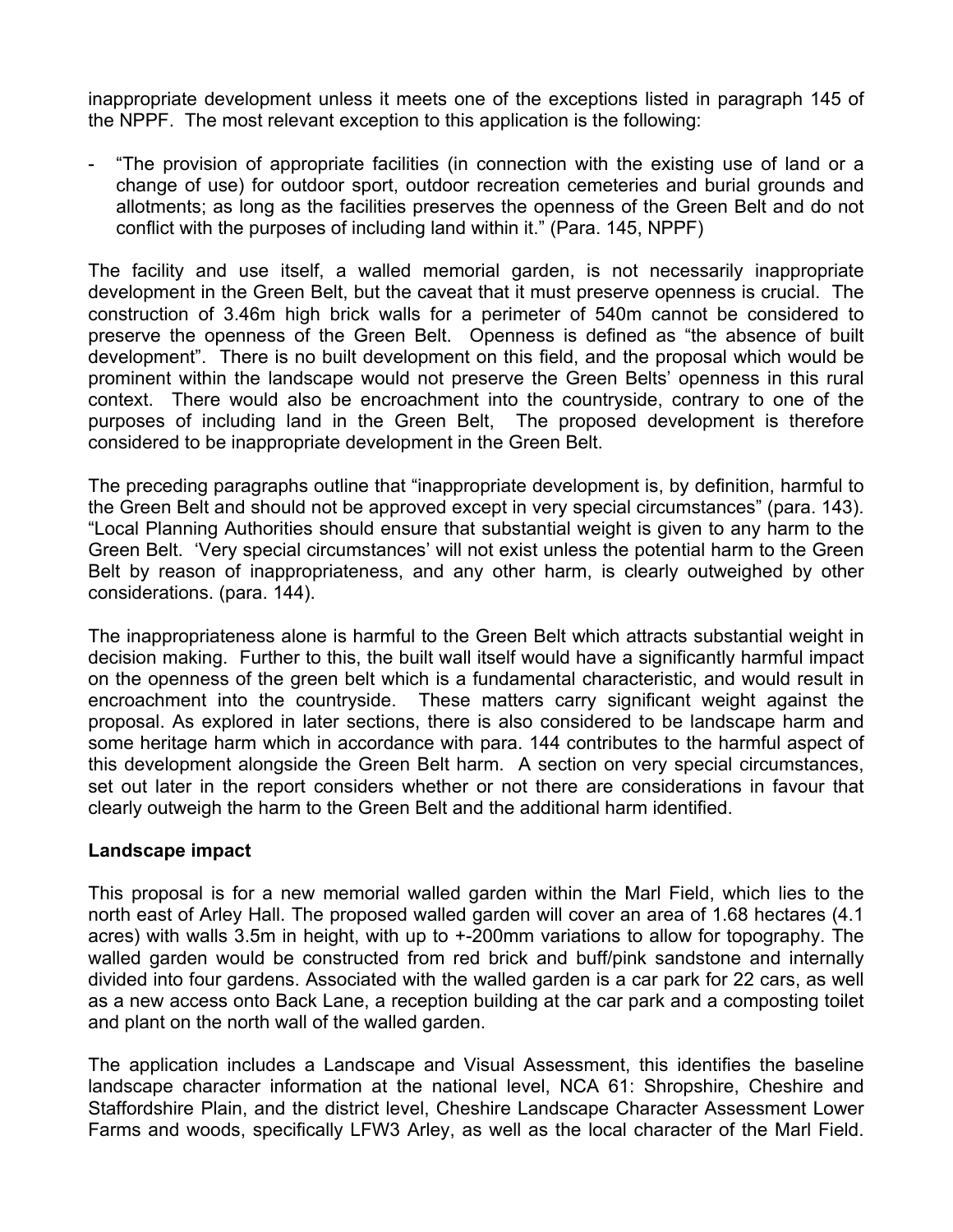inappropriate development unless it meets one of the exceptions listed in paragraph 145 of the NPPF. The most relevant exception to this application is the following:

- "The provision of appropriate facilities (in connection with the existing use of land or a change of use) for outdoor sport, outdoor recreation cemeteries and burial grounds and allotments; as long as the facilities preserves the openness of the Green Belt and do not conflict with the purposes of including land within it." (Para. 145, NPPF)

The facility and use itself, a walled memorial garden, is not necessarily inappropriate development in the Green Belt, but the caveat that it must preserve openness is crucial. The construction of 3.46m high brick walls for a perimeter of 540m cannot be considered to preserve the openness of the Green Belt. Openness is defined as "the absence of built development". There is no built development on this field, and the proposal which would be prominent within the landscape would not preserve the Green Belts' openness in this rural context. There would also be encroachment into the countryside, contrary to one of the purposes of including land in the Green Belt, The proposed development is therefore considered to be inappropriate development in the Green Belt.

The preceding paragraphs outline that "inappropriate development is, by definition, harmful to the Green Belt and should not be approved except in very special circumstances" (para. 143). "Local Planning Authorities should ensure that substantial weight is given to any harm to the Green Belt. 'Very special circumstances' will not exist unless the potential harm to the Green Belt by reason of inappropriateness, and any other harm, is clearly outweighed by other considerations. (para. 144).

The inappropriateness alone is harmful to the Green Belt which attracts substantial weight in decision making. Further to this, the built wall itself would have a significantly harmful impact on the openness of the green belt which is a fundamental characteristic, and would result in encroachment into the countryside. These matters carry significant weight against the proposal. As explored in later sections, there is also considered to be landscape harm and some heritage harm which in accordance with para. 144 contributes to the harmful aspect of this development alongside the Green Belt harm. A section on very special circumstances, set out later in the report considers whether or not there are considerations in favour that clearly outweigh the harm to the Green Belt and the additional harm identified.

#### **Landscape impact**

This proposal is for a new memorial walled garden within the Marl Field, which lies to the north east of Arley Hall. The proposed walled garden will cover an area of 1.68 hectares (4.1 acres) with walls 3.5m in height, with up to +-200mm variations to allow for topography. The walled garden would be constructed from red brick and buff/pink sandstone and internally divided into four gardens. Associated with the walled garden is a car park for 22 cars, as well as a new access onto Back Lane, a reception building at the car park and a composting toilet and plant on the north wall of the walled garden.

The application includes a Landscape and Visual Assessment, this identifies the baseline landscape character information at the national level, NCA 61: Shropshire, Cheshire and Staffordshire Plain, and the district level, Cheshire Landscape Character Assessment Lower Farms and woods, specifically LFW3 Arley, as well as the local character of the Marl Field.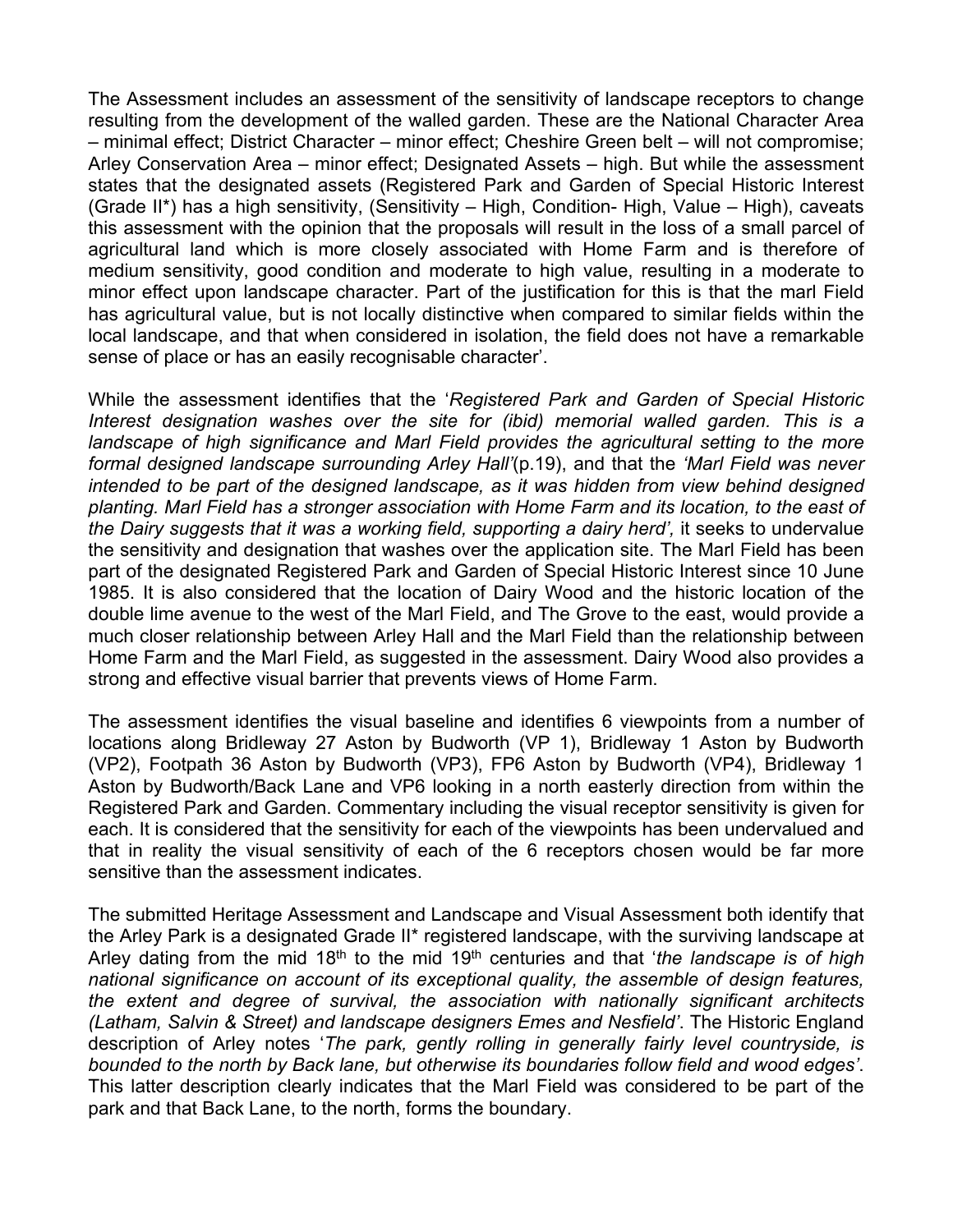The Assessment includes an assessment of the sensitivity of landscape receptors to change resulting from the development of the walled garden. These are the National Character Area – minimal effect; District Character – minor effect; Cheshire Green belt – will not compromise; Arley Conservation Area – minor effect; Designated Assets – high. But while the assessment states that the designated assets (Registered Park and Garden of Special Historic Interest (Grade II\*) has a high sensitivity, (Sensitivity – High, Condition- High, Value – High), caveats this assessment with the opinion that the proposals will result in the loss of a small parcel of agricultural land which is more closely associated with Home Farm and is therefore of medium sensitivity, good condition and moderate to high value, resulting in a moderate to minor effect upon landscape character. Part of the justification for this is that the marl Field has agricultural value, but is not locally distinctive when compared to similar fields within the local landscape, and that when considered in isolation, the field does not have a remarkable sense of place or has an easily recognisable character'.

While the assessment identifies that the '*Registered Park and Garden of Special Historic Interest designation washes over the site for (ibid) memorial walled garden. This is a landscape of high significance and Marl Field provides the agricultural setting to the more formal designed landscape surrounding Arley Hall'*(p.19), and that the *'Marl Field was never intended to be part of the designed landscape, as it was hidden from view behind designed planting. Marl Field has a stronger association with Home Farm and its location, to the east of the Dairy suggests that it was a working field, supporting a dairy herd',* it seeks to undervalue the sensitivity and designation that washes over the application site. The Marl Field has been part of the designated Registered Park and Garden of Special Historic Interest since 10 June 1985. It is also considered that the location of Dairy Wood and the historic location of the double lime avenue to the west of the Marl Field, and The Grove to the east, would provide a much closer relationship between Arley Hall and the Marl Field than the relationship between Home Farm and the Marl Field, as suggested in the assessment. Dairy Wood also provides a strong and effective visual barrier that prevents views of Home Farm.

The assessment identifies the visual baseline and identifies 6 viewpoints from a number of locations along Bridleway 27 Aston by Budworth (VP 1), Bridleway 1 Aston by Budworth (VP2), Footpath 36 Aston by Budworth (VP3), FP6 Aston by Budworth (VP4), Bridleway 1 Aston by Budworth/Back Lane and VP6 looking in a north easterly direction from within the Registered Park and Garden. Commentary including the visual receptor sensitivity is given for each. It is considered that the sensitivity for each of the viewpoints has been undervalued and that in reality the visual sensitivity of each of the 6 receptors chosen would be far more sensitive than the assessment indicates.

The submitted Heritage Assessment and Landscape and Visual Assessment both identify that the Arley Park is a designated Grade II\* registered landscape, with the surviving landscape at Arley dating from the mid 18th to the mid 19th centuries and that '*the landscape is of high national significance on account of its exceptional quality, the assemble of design features, the extent and degree of survival, the association with nationally significant architects (Latham, Salvin & Street) and landscape designers Emes and Nesfield'*. The Historic England description of Arley notes '*The park, gently rolling in generally fairly level countryside, is bounded to the north by Back lane, but otherwise its boundaries follow field and wood edges'*. This latter description clearly indicates that the Marl Field was considered to be part of the park and that Back Lane, to the north, forms the boundary.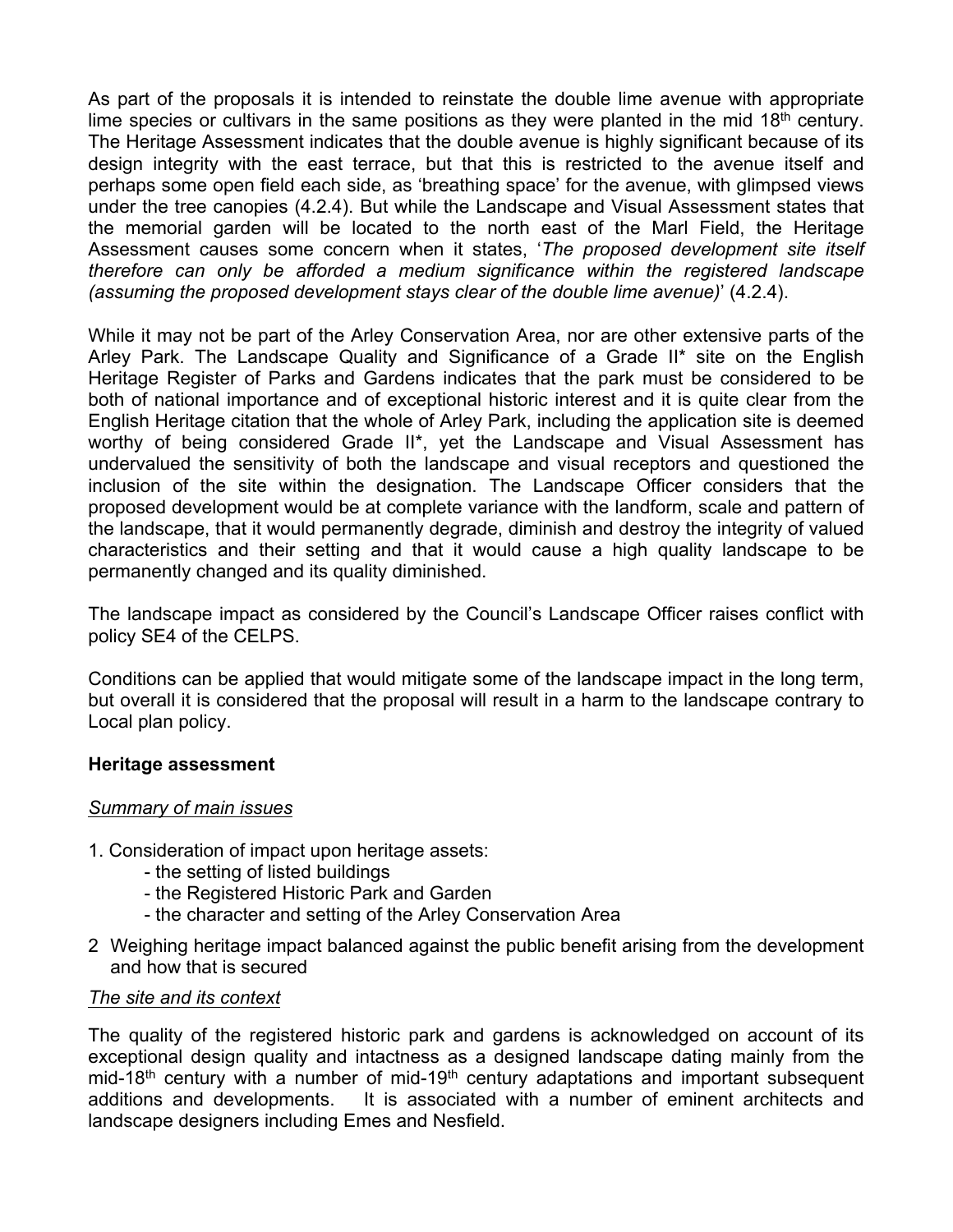As part of the proposals it is intended to reinstate the double lime avenue with appropriate lime species or cultivars in the same positions as they were planted in the mid  $18<sup>th</sup>$  century. The Heritage Assessment indicates that the double avenue is highly significant because of its design integrity with the east terrace, but that this is restricted to the avenue itself and perhaps some open field each side, as 'breathing space' for the avenue, with glimpsed views under the tree canopies (4.2.4). But while the Landscape and Visual Assessment states that the memorial garden will be located to the north east of the Marl Field, the Heritage Assessment causes some concern when it states, '*The proposed development site itself therefore can only be afforded a medium significance within the registered landscape (assuming the proposed development stays clear of the double lime avenue)*' (4.2.4).

While it may not be part of the Arley Conservation Area, nor are other extensive parts of the Arley Park. The Landscape Quality and Significance of a Grade II\* site on the English Heritage Register of Parks and Gardens indicates that the park must be considered to be both of national importance and of exceptional historic interest and it is quite clear from the English Heritage citation that the whole of Arley Park, including the application site is deemed worthy of being considered Grade II\*, yet the Landscape and Visual Assessment has undervalued the sensitivity of both the landscape and visual receptors and questioned the inclusion of the site within the designation. The Landscape Officer considers that the proposed development would be at complete variance with the landform, scale and pattern of the landscape, that it would permanently degrade, diminish and destroy the integrity of valued characteristics and their setting and that it would cause a high quality landscape to be permanently changed and its quality diminished.

The landscape impact as considered by the Council's Landscape Officer raises conflict with policy SE4 of the CELPS.

Conditions can be applied that would mitigate some of the landscape impact in the long term, but overall it is considered that the proposal will result in a harm to the landscape contrary to Local plan policy.

#### **Heritage assessment**

#### *Summary of main issues*

- 1. Consideration of impact upon heritage assets:
	- the setting of listed buildings
	- the Registered Historic Park and Garden
	- the character and setting of the Arley Conservation Area
- 2 Weighing heritage impact balanced against the public benefit arising from the development and how that is secured

#### *The site and its context*

The quality of the registered historic park and gardens is acknowledged on account of its exceptional design quality and intactness as a designed landscape dating mainly from the mid-18<sup>th</sup> century with a number of mid-19<sup>th</sup> century adaptations and important subsequent additions and developments. It is associated with a number of eminent architects and landscape designers including Emes and Nesfield.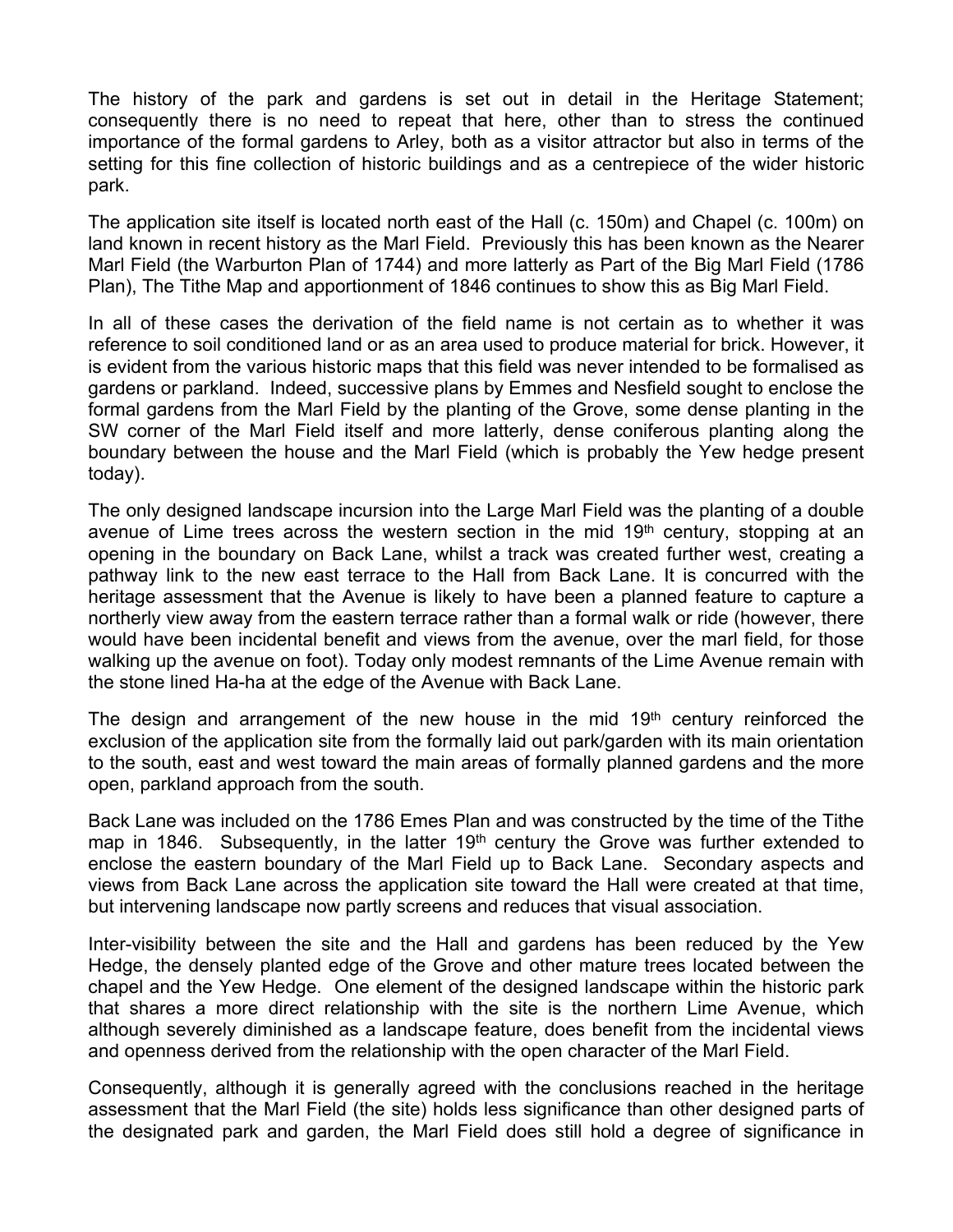The history of the park and gardens is set out in detail in the Heritage Statement; consequently there is no need to repeat that here, other than to stress the continued importance of the formal gardens to Arley, both as a visitor attractor but also in terms of the setting for this fine collection of historic buildings and as a centrepiece of the wider historic park.

The application site itself is located north east of the Hall (c. 150m) and Chapel (c. 100m) on land known in recent history as the Marl Field. Previously this has been known as the Nearer Marl Field (the Warburton Plan of 1744) and more latterly as Part of the Big Marl Field (1786 Plan), The Tithe Map and apportionment of 1846 continues to show this as Big Marl Field.

In all of these cases the derivation of the field name is not certain as to whether it was reference to soil conditioned land or as an area used to produce material for brick. However, it is evident from the various historic maps that this field was never intended to be formalised as gardens or parkland. Indeed, successive plans by Emmes and Nesfield sought to enclose the formal gardens from the Marl Field by the planting of the Grove, some dense planting in the SW corner of the Marl Field itself and more latterly, dense coniferous planting along the boundary between the house and the Marl Field (which is probably the Yew hedge present today).

The only designed landscape incursion into the Large Marl Field was the planting of a double avenue of Lime trees across the western section in the mid 19<sup>th</sup> century, stopping at an opening in the boundary on Back Lane, whilst a track was created further west, creating a pathway link to the new east terrace to the Hall from Back Lane. It is concurred with the heritage assessment that the Avenue is likely to have been a planned feature to capture a northerly view away from the eastern terrace rather than a formal walk or ride (however, there would have been incidental benefit and views from the avenue, over the marl field, for those walking up the avenue on foot). Today only modest remnants of the Lime Avenue remain with the stone lined Ha-ha at the edge of the Avenue with Back Lane.

The design and arrangement of the new house in the mid  $19<sup>th</sup>$  century reinforced the exclusion of the application site from the formally laid out park/garden with its main orientation to the south, east and west toward the main areas of formally planned gardens and the more open, parkland approach from the south.

Back Lane was included on the 1786 Emes Plan and was constructed by the time of the Tithe map in 1846. Subsequently, in the latter  $19<sup>th</sup>$  century the Grove was further extended to enclose the eastern boundary of the Marl Field up to Back Lane. Secondary aspects and views from Back Lane across the application site toward the Hall were created at that time, but intervening landscape now partly screens and reduces that visual association.

Inter-visibility between the site and the Hall and gardens has been reduced by the Yew Hedge, the densely planted edge of the Grove and other mature trees located between the chapel and the Yew Hedge. One element of the designed landscape within the historic park that shares a more direct relationship with the site is the northern Lime Avenue, which although severely diminished as a landscape feature, does benefit from the incidental views and openness derived from the relationship with the open character of the Marl Field.

Consequently, although it is generally agreed with the conclusions reached in the heritage assessment that the Marl Field (the site) holds less significance than other designed parts of the designated park and garden, the Marl Field does still hold a degree of significance in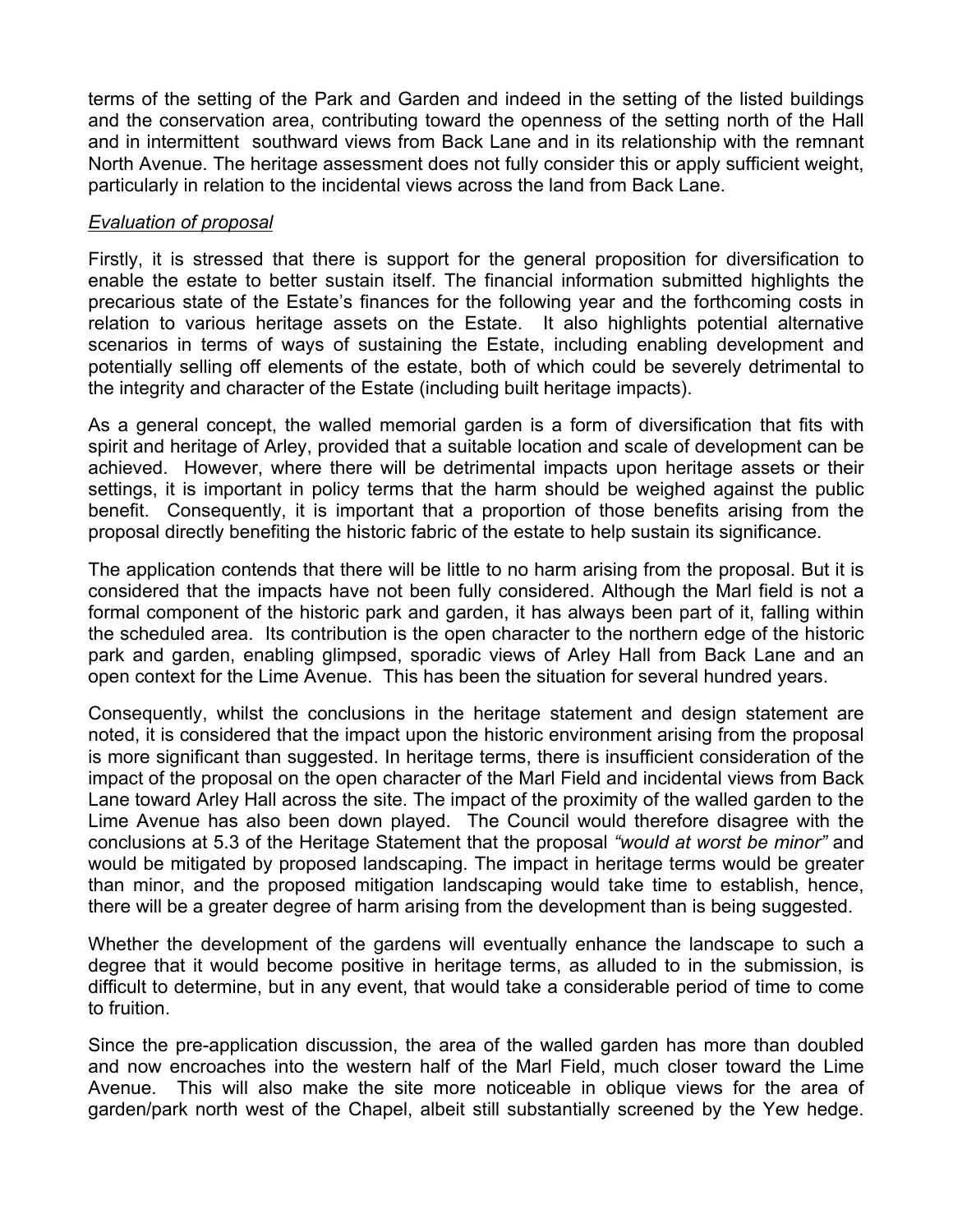terms of the setting of the Park and Garden and indeed in the setting of the listed buildings and the conservation area, contributing toward the openness of the setting north of the Hall and in intermittent southward views from Back Lane and in its relationship with the remnant North Avenue. The heritage assessment does not fully consider this or apply sufficient weight, particularly in relation to the incidental views across the land from Back Lane.

### *Evaluation of proposal*

Firstly, it is stressed that there is support for the general proposition for diversification to enable the estate to better sustain itself. The financial information submitted highlights the precarious state of the Estate's finances for the following year and the forthcoming costs in relation to various heritage assets on the Estate. It also highlights potential alternative scenarios in terms of ways of sustaining the Estate, including enabling development and potentially selling off elements of the estate, both of which could be severely detrimental to the integrity and character of the Estate (including built heritage impacts).

As a general concept, the walled memorial garden is a form of diversification that fits with spirit and heritage of Arley, provided that a suitable location and scale of development can be achieved. However, where there will be detrimental impacts upon heritage assets or their settings, it is important in policy terms that the harm should be weighed against the public benefit. Consequently, it is important that a proportion of those benefits arising from the proposal directly benefiting the historic fabric of the estate to help sustain its significance.

The application contends that there will be little to no harm arising from the proposal. But it is considered that the impacts have not been fully considered. Although the Marl field is not a formal component of the historic park and garden, it has always been part of it, falling within the scheduled area. Its contribution is the open character to the northern edge of the historic park and garden, enabling glimpsed, sporadic views of Arley Hall from Back Lane and an open context for the Lime Avenue. This has been the situation for several hundred years.

Consequently, whilst the conclusions in the heritage statement and design statement are noted, it is considered that the impact upon the historic environment arising from the proposal is more significant than suggested. In heritage terms, there is insufficient consideration of the impact of the proposal on the open character of the Marl Field and incidental views from Back Lane toward Arley Hall across the site. The impact of the proximity of the walled garden to the Lime Avenue has also been down played. The Council would therefore disagree with the conclusions at 5.3 of the Heritage Statement that the proposal *"would at worst be minor"* and would be mitigated by proposed landscaping. The impact in heritage terms would be greater than minor, and the proposed mitigation landscaping would take time to establish, hence, there will be a greater degree of harm arising from the development than is being suggested.

Whether the development of the gardens will eventually enhance the landscape to such a degree that it would become positive in heritage terms, as alluded to in the submission, is difficult to determine, but in any event, that would take a considerable period of time to come to fruition.

Since the pre-application discussion, the area of the walled garden has more than doubled and now encroaches into the western half of the Marl Field, much closer toward the Lime Avenue. This will also make the site more noticeable in oblique views for the area of garden/park north west of the Chapel, albeit still substantially screened by the Yew hedge.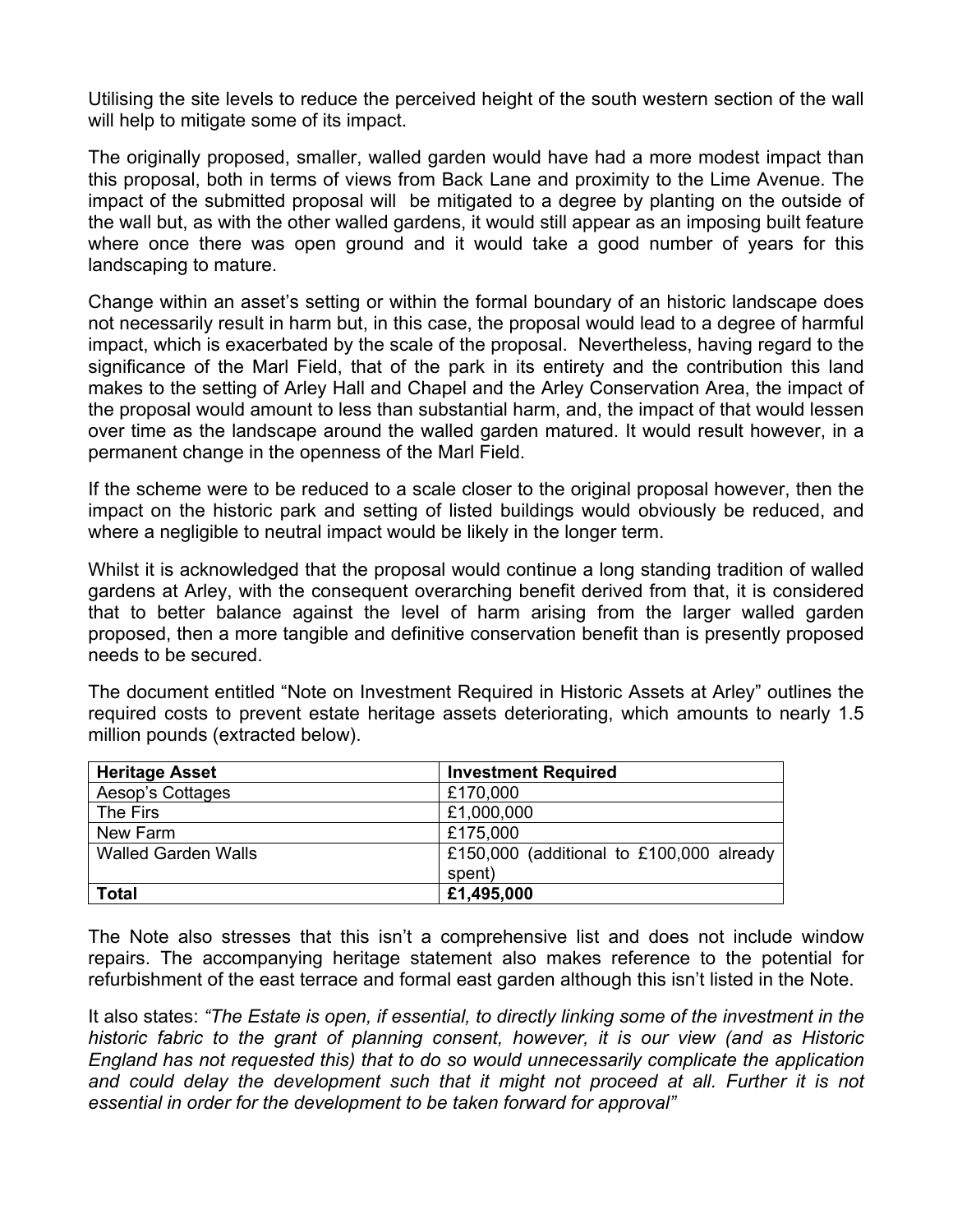Utilising the site levels to reduce the perceived height of the south western section of the wall will help to mitigate some of its impact.

The originally proposed, smaller, walled garden would have had a more modest impact than this proposal, both in terms of views from Back Lane and proximity to the Lime Avenue. The impact of the submitted proposal will be mitigated to a degree by planting on the outside of the wall but, as with the other walled gardens, it would still appear as an imposing built feature where once there was open ground and it would take a good number of years for this landscaping to mature.

Change within an asset's setting or within the formal boundary of an historic landscape does not necessarily result in harm but, in this case, the proposal would lead to a degree of harmful impact, which is exacerbated by the scale of the proposal. Nevertheless, having regard to the significance of the Marl Field, that of the park in its entirety and the contribution this land makes to the setting of Arley Hall and Chapel and the Arley Conservation Area, the impact of the proposal would amount to less than substantial harm, and, the impact of that would lessen over time as the landscape around the walled garden matured. It would result however, in a permanent change in the openness of the Marl Field.

If the scheme were to be reduced to a scale closer to the original proposal however, then the impact on the historic park and setting of listed buildings would obviously be reduced, and where a negligible to neutral impact would be likely in the longer term.

Whilst it is acknowledged that the proposal would continue a long standing tradition of walled gardens at Arley, with the consequent overarching benefit derived from that, it is considered that to better balance against the level of harm arising from the larger walled garden proposed, then a more tangible and definitive conservation benefit than is presently proposed needs to be secured.

The document entitled "Note on Investment Required in Historic Assets at Arley" outlines the required costs to prevent estate heritage assets deteriorating, which amounts to nearly 1.5 million pounds (extracted below).

| <b>Heritage Asset</b>      | <b>Investment Required</b>               |
|----------------------------|------------------------------------------|
| Aesop's Cottages           | £170,000                                 |
| The Firs                   | £1,000,000                               |
| New Farm                   | £175,000                                 |
| <b>Walled Garden Walls</b> | £150,000 (additional to £100,000 already |
|                            | spent)                                   |
| <b>Total</b>               | £1,495,000                               |

The Note also stresses that this isn't a comprehensive list and does not include window repairs. The accompanying heritage statement also makes reference to the potential for refurbishment of the east terrace and formal east garden although this isn't listed in the Note.

It also states: *"The Estate is open, if essential, to directly linking some of the investment in the historic fabric to the grant of planning consent, however, it is our view (and as Historic England has not requested this) that to do so would unnecessarily complicate the application and could delay the development such that it might not proceed at all. Further it is not essential in order for the development to be taken forward for approval"*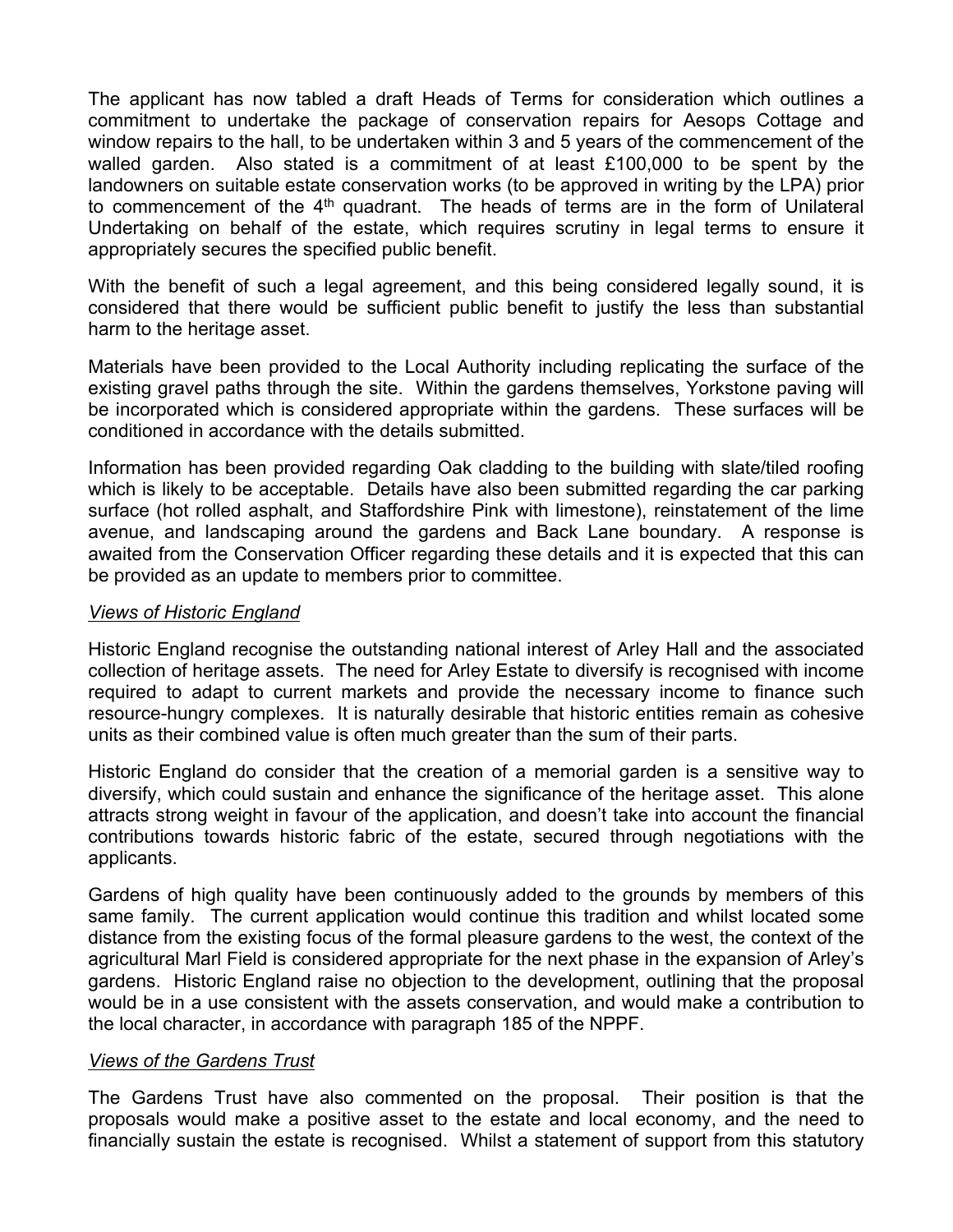The applicant has now tabled a draft Heads of Terms for consideration which outlines a commitment to undertake the package of conservation repairs for Aesops Cottage and window repairs to the hall, to be undertaken within 3 and 5 years of the commencement of the walled garden. Also stated is a commitment of at least £100,000 to be spent by the landowners on suitable estate conservation works (to be approved in writing by the LPA) prior to commencement of the 4<sup>th</sup> quadrant. The heads of terms are in the form of Unilateral Undertaking on behalf of the estate, which requires scrutiny in legal terms to ensure it appropriately secures the specified public benefit.

With the benefit of such a legal agreement, and this being considered legally sound, it is considered that there would be sufficient public benefit to justify the less than substantial harm to the heritage asset.

Materials have been provided to the Local Authority including replicating the surface of the existing gravel paths through the site. Within the gardens themselves, Yorkstone paving will be incorporated which is considered appropriate within the gardens. These surfaces will be conditioned in accordance with the details submitted.

Information has been provided regarding Oak cladding to the building with slate/tiled roofing which is likely to be acceptable. Details have also been submitted regarding the car parking surface (hot rolled asphalt, and Staffordshire Pink with limestone), reinstatement of the lime avenue, and landscaping around the gardens and Back Lane boundary. A response is awaited from the Conservation Officer regarding these details and it is expected that this can be provided as an update to members prior to committee.

#### *Views of Historic England*

Historic England recognise the outstanding national interest of Arley Hall and the associated collection of heritage assets. The need for Arley Estate to diversify is recognised with income required to adapt to current markets and provide the necessary income to finance such resource-hungry complexes. It is naturally desirable that historic entities remain as cohesive units as their combined value is often much greater than the sum of their parts.

Historic England do consider that the creation of a memorial garden is a sensitive way to diversify, which could sustain and enhance the significance of the heritage asset. This alone attracts strong weight in favour of the application, and doesn't take into account the financial contributions towards historic fabric of the estate, secured through negotiations with the applicants.

Gardens of high quality have been continuously added to the grounds by members of this same family. The current application would continue this tradition and whilst located some distance from the existing focus of the formal pleasure gardens to the west, the context of the agricultural Marl Field is considered appropriate for the next phase in the expansion of Arley's gardens. Historic England raise no objection to the development, outlining that the proposal would be in a use consistent with the assets conservation, and would make a contribution to the local character, in accordance with paragraph 185 of the NPPF.

#### *Views of the Gardens Trust*

The Gardens Trust have also commented on the proposal. Their position is that the proposals would make a positive asset to the estate and local economy, and the need to financially sustain the estate is recognised. Whilst a statement of support from this statutory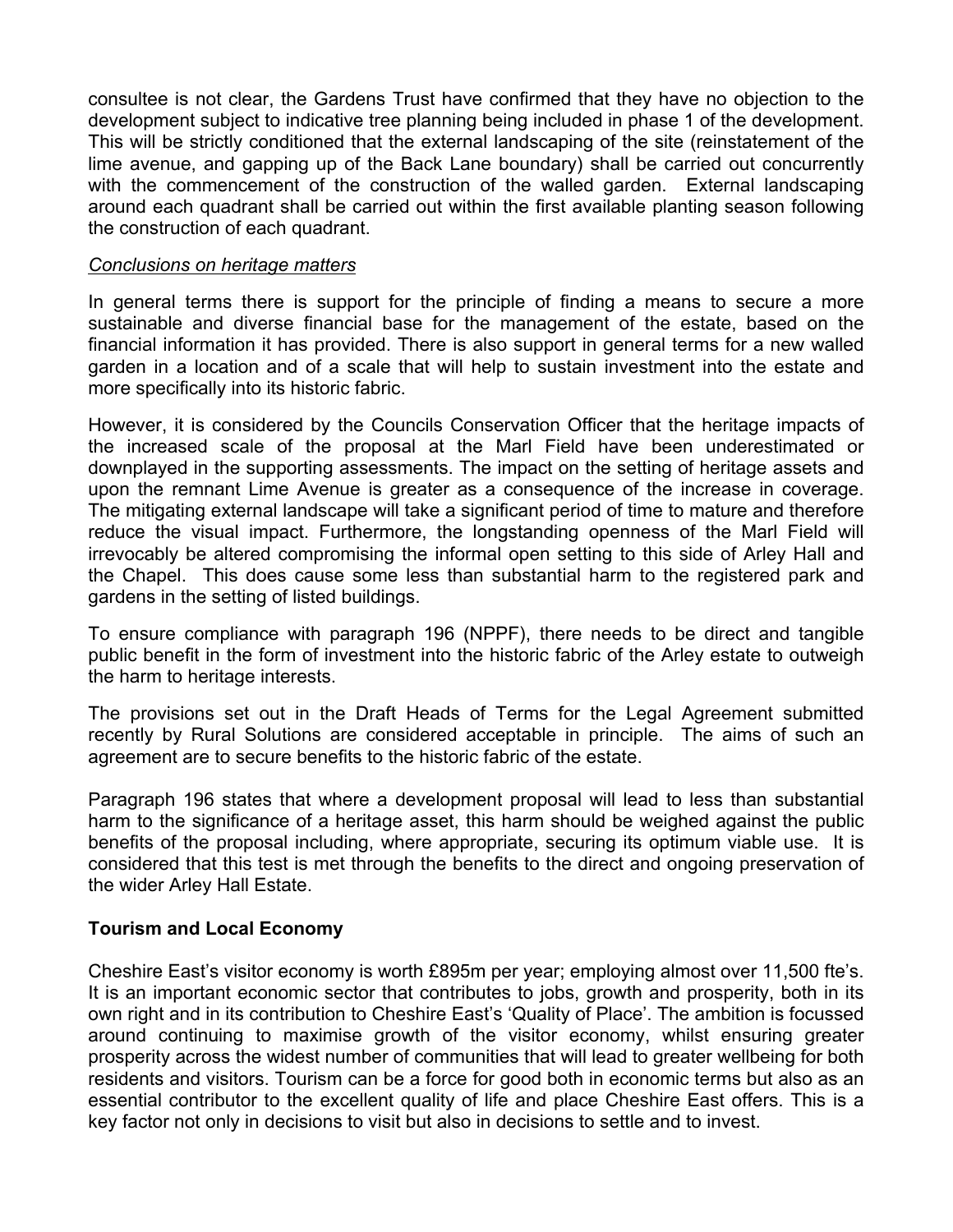consultee is not clear, the Gardens Trust have confirmed that they have no objection to the development subject to indicative tree planning being included in phase 1 of the development. This will be strictly conditioned that the external landscaping of the site (reinstatement of the lime avenue, and gapping up of the Back Lane boundary) shall be carried out concurrently with the commencement of the construction of the walled garden. External landscaping around each quadrant shall be carried out within the first available planting season following the construction of each quadrant.

#### *Conclusions on heritage matters*

In general terms there is support for the principle of finding a means to secure a more sustainable and diverse financial base for the management of the estate, based on the financial information it has provided. There is also support in general terms for a new walled garden in a location and of a scale that will help to sustain investment into the estate and more specifically into its historic fabric.

However, it is considered by the Councils Conservation Officer that the heritage impacts of the increased scale of the proposal at the Marl Field have been underestimated or downplayed in the supporting assessments. The impact on the setting of heritage assets and upon the remnant Lime Avenue is greater as a consequence of the increase in coverage. The mitigating external landscape will take a significant period of time to mature and therefore reduce the visual impact. Furthermore, the longstanding openness of the Marl Field will irrevocably be altered compromising the informal open setting to this side of Arley Hall and the Chapel. This does cause some less than substantial harm to the registered park and gardens in the setting of listed buildings.

To ensure compliance with paragraph 196 (NPPF), there needs to be direct and tangible public benefit in the form of investment into the historic fabric of the Arley estate to outweigh the harm to heritage interests.

The provisions set out in the Draft Heads of Terms for the Legal Agreement submitted recently by Rural Solutions are considered acceptable in principle. The aims of such an agreement are to secure benefits to the historic fabric of the estate.

Paragraph 196 states that where a development proposal will lead to less than substantial harm to the significance of a heritage asset, this harm should be weighed against the public benefits of the proposal including, where appropriate, securing its optimum viable use. It is considered that this test is met through the benefits to the direct and ongoing preservation of the wider Arley Hall Estate.

#### **Tourism and Local Economy**

Cheshire East's visitor economy is worth £895m per year; employing almost over 11,500 fte's. It is an important economic sector that contributes to jobs, growth and prosperity, both in its own right and in its contribution to Cheshire East's 'Quality of Place'. The ambition is focussed around continuing to maximise growth of the visitor economy, whilst ensuring greater prosperity across the widest number of communities that will lead to greater wellbeing for both residents and visitors. Tourism can be a force for good both in economic terms but also as an essential contributor to the excellent quality of life and place Cheshire East offers. This is a key factor not only in decisions to visit but also in decisions to settle and to invest.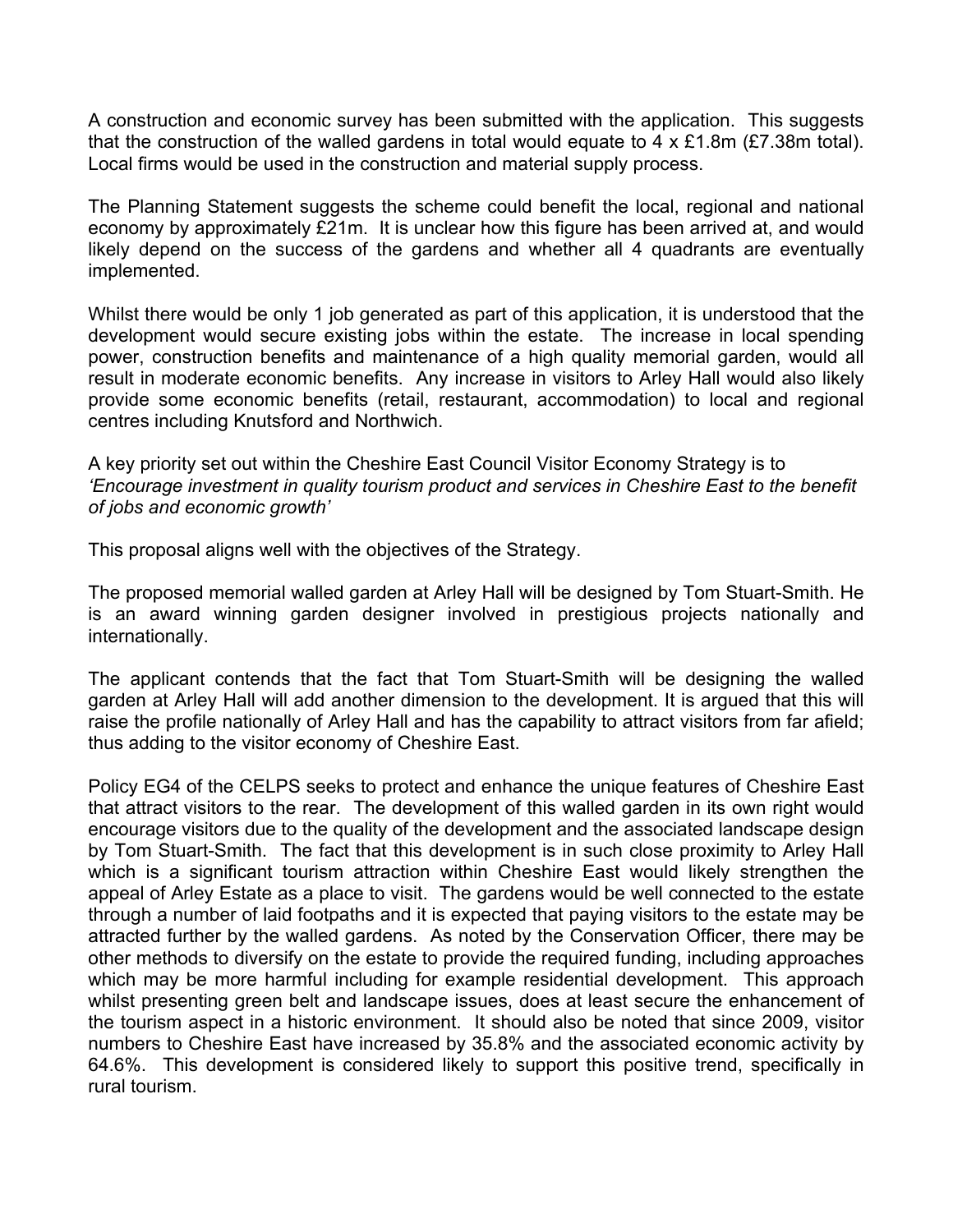A construction and economic survey has been submitted with the application. This suggests that the construction of the walled gardens in total would equate to 4 x £1.8m (£7.38m total). Local firms would be used in the construction and material supply process.

The Planning Statement suggests the scheme could benefit the local, regional and national economy by approximately £21m. It is unclear how this figure has been arrived at, and would likely depend on the success of the gardens and whether all 4 quadrants are eventually implemented.

Whilst there would be only 1 job generated as part of this application, it is understood that the development would secure existing jobs within the estate. The increase in local spending power, construction benefits and maintenance of a high quality memorial garden, would all result in moderate economic benefits. Any increase in visitors to Arley Hall would also likely provide some economic benefits (retail, restaurant, accommodation) to local and regional centres including Knutsford and Northwich.

A key priority set out within the Cheshire East Council Visitor Economy Strategy is to *'Encourage investment in quality tourism product and services in Cheshire East to the benefit of jobs and economic growth'*

This proposal aligns well with the objectives of the Strategy.

The proposed memorial walled garden at Arley Hall will be designed by Tom Stuart-Smith. He is an award winning garden designer involved in prestigious projects nationally and internationally.

The applicant contends that the fact that Tom Stuart-Smith will be designing the walled garden at Arley Hall will add another dimension to the development. It is argued that this will raise the profile nationally of Arley Hall and has the capability to attract visitors from far afield; thus adding to the visitor economy of Cheshire East.

Policy EG4 of the CELPS seeks to protect and enhance the unique features of Cheshire East that attract visitors to the rear. The development of this walled garden in its own right would encourage visitors due to the quality of the development and the associated landscape design by Tom Stuart-Smith. The fact that this development is in such close proximity to Arley Hall which is a significant tourism attraction within Cheshire East would likely strengthen the appeal of Arley Estate as a place to visit. The gardens would be well connected to the estate through a number of laid footpaths and it is expected that paying visitors to the estate may be attracted further by the walled gardens. As noted by the Conservation Officer, there may be other methods to diversify on the estate to provide the required funding, including approaches which may be more harmful including for example residential development. This approach whilst presenting green belt and landscape issues, does at least secure the enhancement of the tourism aspect in a historic environment. It should also be noted that since 2009, visitor numbers to Cheshire East have increased by 35.8% and the associated economic activity by 64.6%. This development is considered likely to support this positive trend, specifically in rural tourism.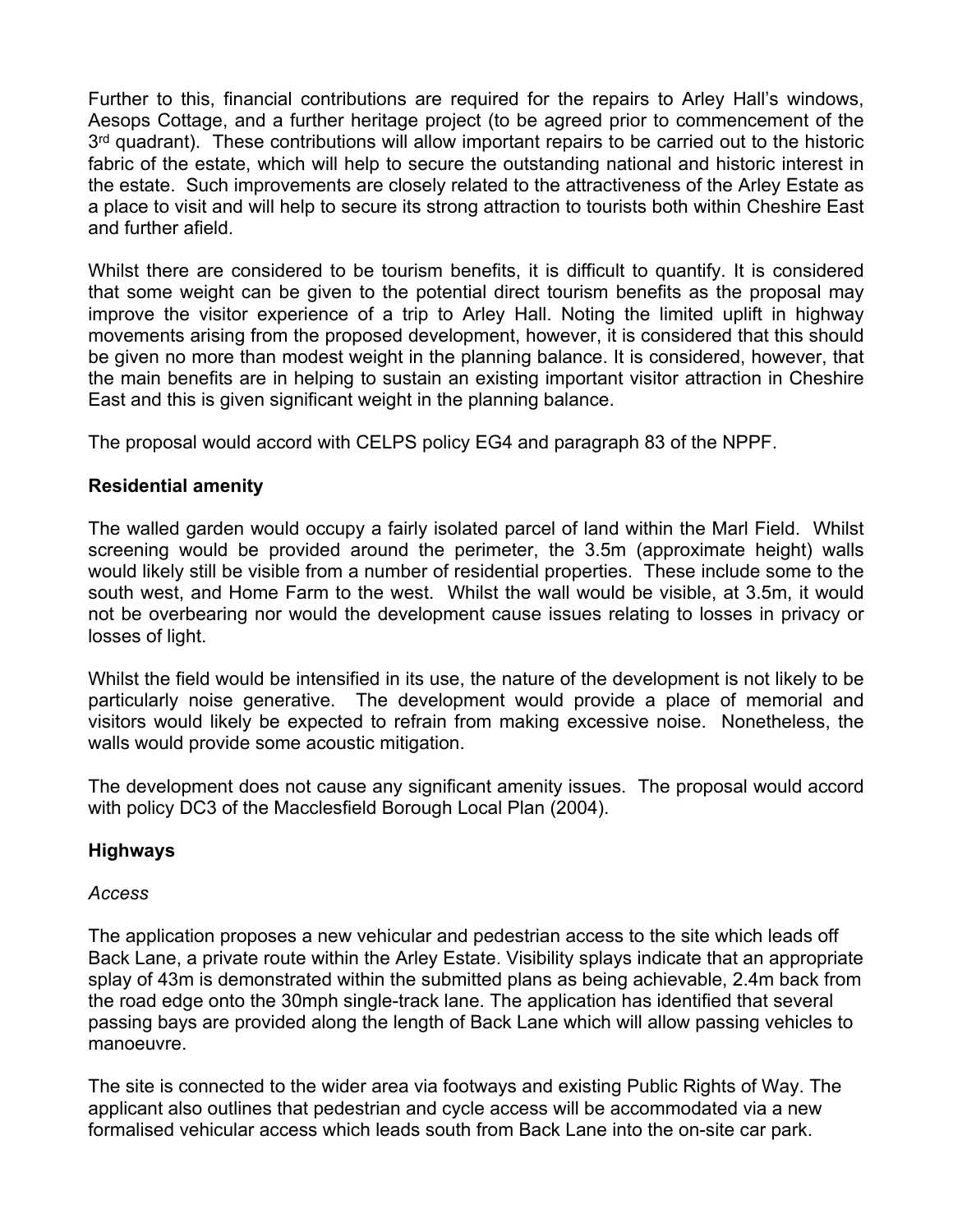Further to this, financial contributions are required for the repairs to Arley Hall's windows, Aesops Cottage, and a further heritage project (to be agreed prior to commencement of the 3<sup>rd</sup> quadrant). These contributions will allow important repairs to be carried out to the historic fabric of the estate, which will help to secure the outstanding national and historic interest in the estate. Such improvements are closely related to the attractiveness of the Arley Estate as a place to visit and will help to secure its strong attraction to tourists both within Cheshire East and further afield.

Whilst there are considered to be tourism benefits, it is difficult to quantify. It is considered that some weight can be given to the potential direct tourism benefits as the proposal may improve the visitor experience of a trip to Arley Hall. Noting the limited uplift in highway movements arising from the proposed development, however, it is considered that this should be given no more than modest weight in the planning balance. It is considered, however, that the main benefits are in helping to sustain an existing important visitor attraction in Cheshire East and this is given significant weight in the planning balance.

The proposal would accord with CELPS policy EG4 and paragraph 83 of the NPPF.

# **Residential amenity**

The walled garden would occupy a fairly isolated parcel of land within the Marl Field. Whilst screening would be provided around the perimeter, the 3.5m (approximate height) walls would likely still be visible from a number of residential properties. These include some to the south west, and Home Farm to the west. Whilst the wall would be visible, at 3.5m, it would not be overbearing nor would the development cause issues relating to losses in privacy or losses of light.

Whilst the field would be intensified in its use, the nature of the development is not likely to be particularly noise generative. The development would provide a place of memorial and visitors would likely be expected to refrain from making excessive noise. Nonetheless, the walls would provide some acoustic mitigation.

The development does not cause any significant amenity issues. The proposal would accord with policy DC3 of the Macclesfield Borough Local Plan (2004).

# **Highways**

# *Access*

The application proposes a new vehicular and pedestrian access to the site which leads off Back Lane, a private route within the Arley Estate. Visibility splays indicate that an appropriate splay of 43m is demonstrated within the submitted plans as being achievable, 2.4m back from the road edge onto the 30mph single-track lane. The application has identified that several passing bays are provided along the length of Back Lane which will allow passing vehicles to manoeuvre.

The site is connected to the wider area via footways and existing Public Rights of Way. The applicant also outlines that pedestrian and cycle access will be accommodated via a new formalised vehicular access which leads south from Back Lane into the on-site car park.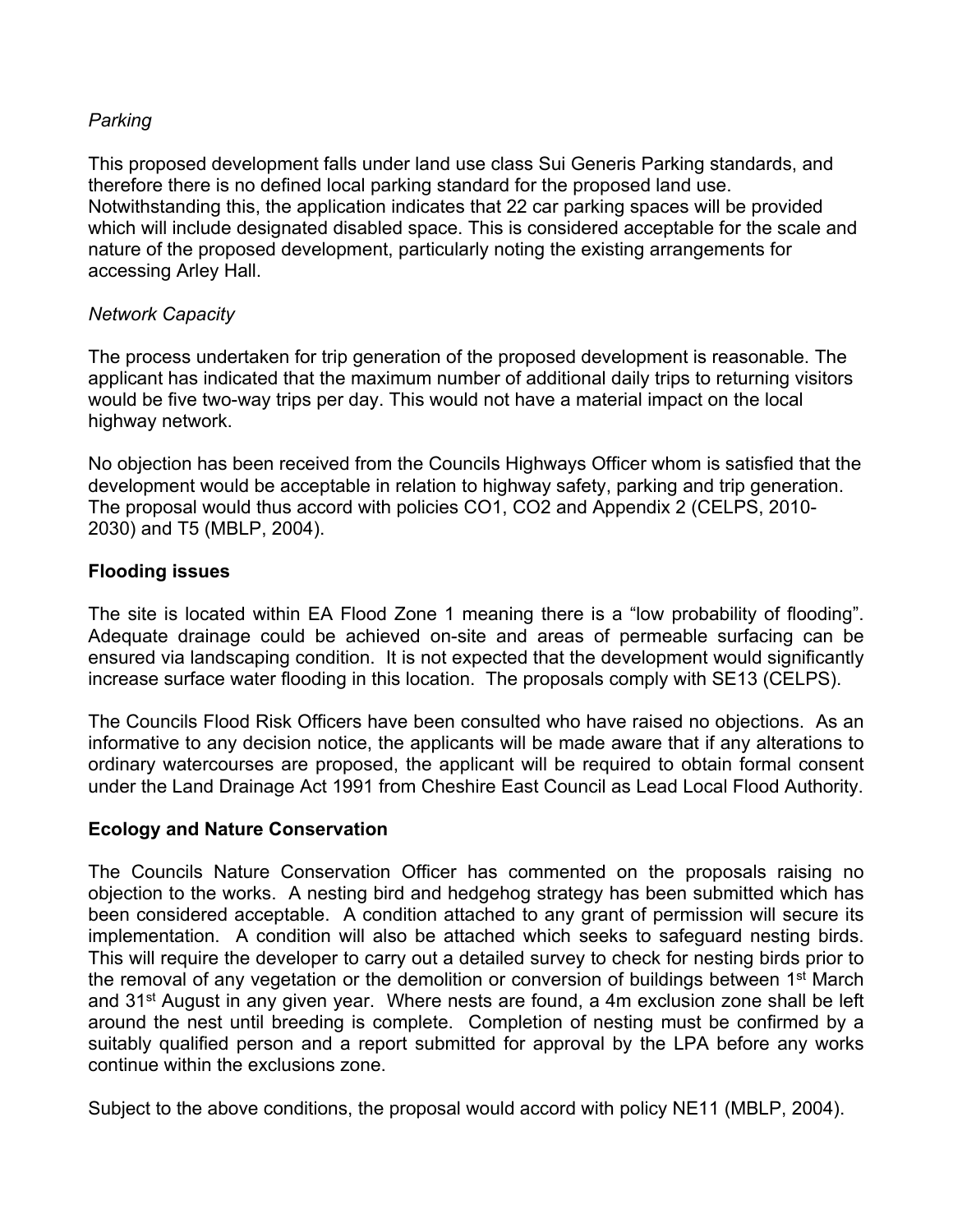### *Parking*

This proposed development falls under land use class Sui Generis Parking standards, and therefore there is no defined local parking standard for the proposed land use. Notwithstanding this, the application indicates that 22 car parking spaces will be provided which will include designated disabled space. This is considered acceptable for the scale and nature of the proposed development, particularly noting the existing arrangements for accessing Arley Hall.

### *Network Capacity*

The process undertaken for trip generation of the proposed development is reasonable. The applicant has indicated that the maximum number of additional daily trips to returning visitors would be five two-way trips per day. This would not have a material impact on the local highway network.

No objection has been received from the Councils Highways Officer whom is satisfied that the development would be acceptable in relation to highway safety, parking and trip generation. The proposal would thus accord with policies CO1, CO2 and Appendix 2 (CELPS, 2010- 2030) and T5 (MBLP, 2004).

#### **Flooding issues**

The site is located within EA Flood Zone 1 meaning there is a "low probability of flooding". Adequate drainage could be achieved on-site and areas of permeable surfacing can be ensured via landscaping condition. It is not expected that the development would significantly increase surface water flooding in this location. The proposals comply with SE13 (CELPS).

The Councils Flood Risk Officers have been consulted who have raised no objections. As an informative to any decision notice, the applicants will be made aware that if any alterations to ordinary watercourses are proposed, the applicant will be required to obtain formal consent under the Land Drainage Act 1991 from Cheshire East Council as Lead Local Flood Authority.

#### **Ecology and Nature Conservation**

The Councils Nature Conservation Officer has commented on the proposals raising no objection to the works. A nesting bird and hedgehog strategy has been submitted which has been considered acceptable. A condition attached to any grant of permission will secure its implementation. A condition will also be attached which seeks to safeguard nesting birds. This will require the developer to carry out a detailed survey to check for nesting birds prior to the removal of any vegetation or the demolition or conversion of buildings between 1<sup>st</sup> March and 31<sup>st</sup> August in any given year. Where nests are found, a 4m exclusion zone shall be left around the nest until breeding is complete. Completion of nesting must be confirmed by a suitably qualified person and a report submitted for approval by the LPA before any works continue within the exclusions zone.

Subject to the above conditions, the proposal would accord with policy NE11 (MBLP, 2004).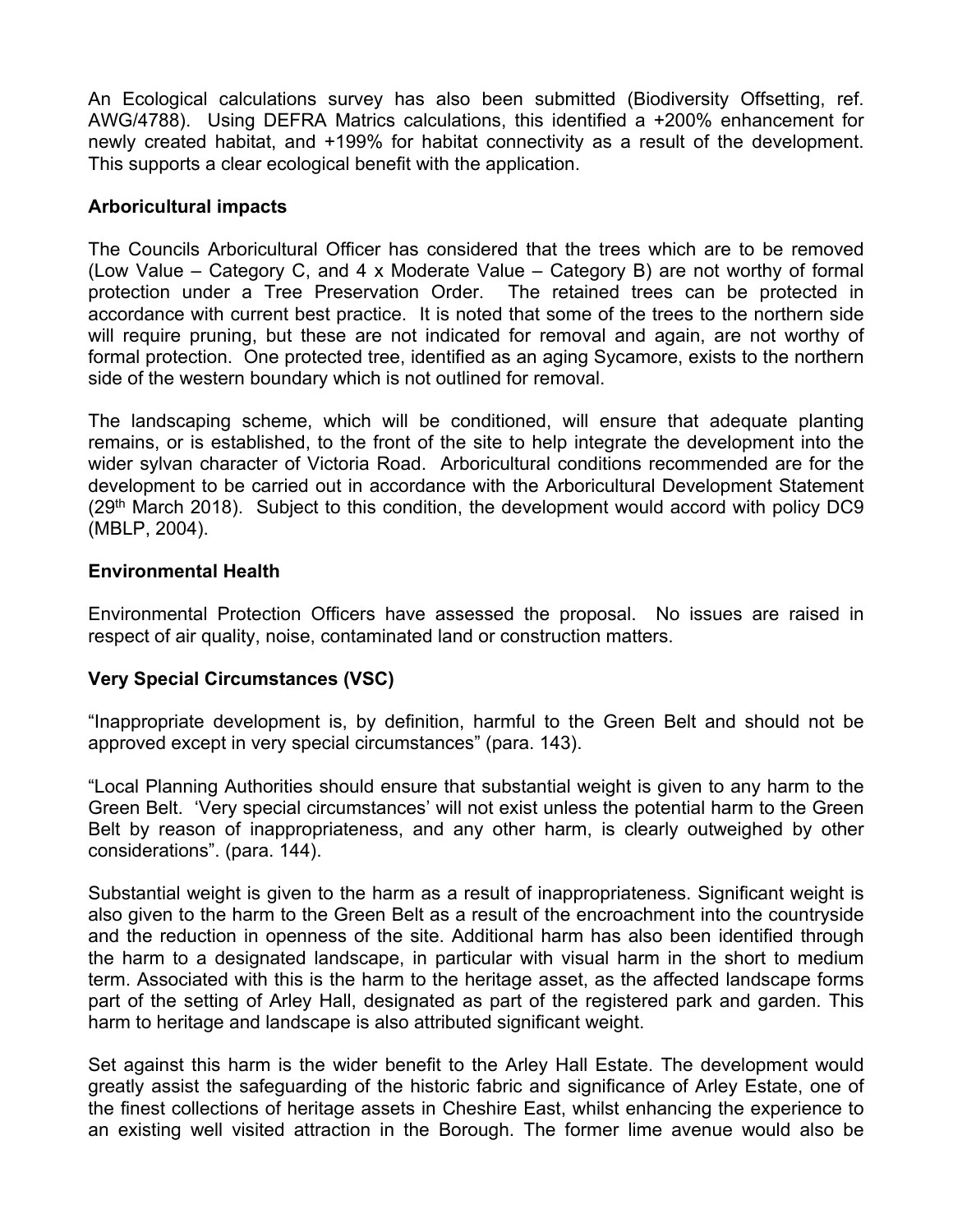An Ecological calculations survey has also been submitted (Biodiversity Offsetting, ref. AWG/4788). Using DEFRA Matrics calculations, this identified a +200% enhancement for newly created habitat, and +199% for habitat connectivity as a result of the development. This supports a clear ecological benefit with the application.

#### **Arboricultural impacts**

The Councils Arboricultural Officer has considered that the trees which are to be removed (Low Value – Category C, and 4 x Moderate Value – Category B) are not worthy of formal protection under a Tree Preservation Order. The retained trees can be protected in accordance with current best practice. It is noted that some of the trees to the northern side will require pruning, but these are not indicated for removal and again, are not worthy of formal protection. One protected tree, identified as an aging Sycamore, exists to the northern side of the western boundary which is not outlined for removal.

The landscaping scheme, which will be conditioned, will ensure that adequate planting remains, or is established, to the front of the site to help integrate the development into the wider sylvan character of Victoria Road. Arboricultural conditions recommended are for the development to be carried out in accordance with the Arboricultural Development Statement (29th March 2018). Subject to this condition, the development would accord with policy DC9 (MBLP, 2004).

### **Environmental Health**

Environmental Protection Officers have assessed the proposal. No issues are raised in respect of air quality, noise, contaminated land or construction matters.

# **Very Special Circumstances (VSC)**

"Inappropriate development is, by definition, harmful to the Green Belt and should not be approved except in very special circumstances" (para. 143).

"Local Planning Authorities should ensure that substantial weight is given to any harm to the Green Belt. 'Very special circumstances' will not exist unless the potential harm to the Green Belt by reason of inappropriateness, and any other harm, is clearly outweighed by other considerations". (para. 144).

Substantial weight is given to the harm as a result of inappropriateness. Significant weight is also given to the harm to the Green Belt as a result of the encroachment into the countryside and the reduction in openness of the site. Additional harm has also been identified through the harm to a designated landscape, in particular with visual harm in the short to medium term. Associated with this is the harm to the heritage asset, as the affected landscape forms part of the setting of Arley Hall, designated as part of the registered park and garden. This harm to heritage and landscape is also attributed significant weight.

Set against this harm is the wider benefit to the Arley Hall Estate. The development would greatly assist the safeguarding of the historic fabric and significance of Arley Estate, one of the finest collections of heritage assets in Cheshire East, whilst enhancing the experience to an existing well visited attraction in the Borough. The former lime avenue would also be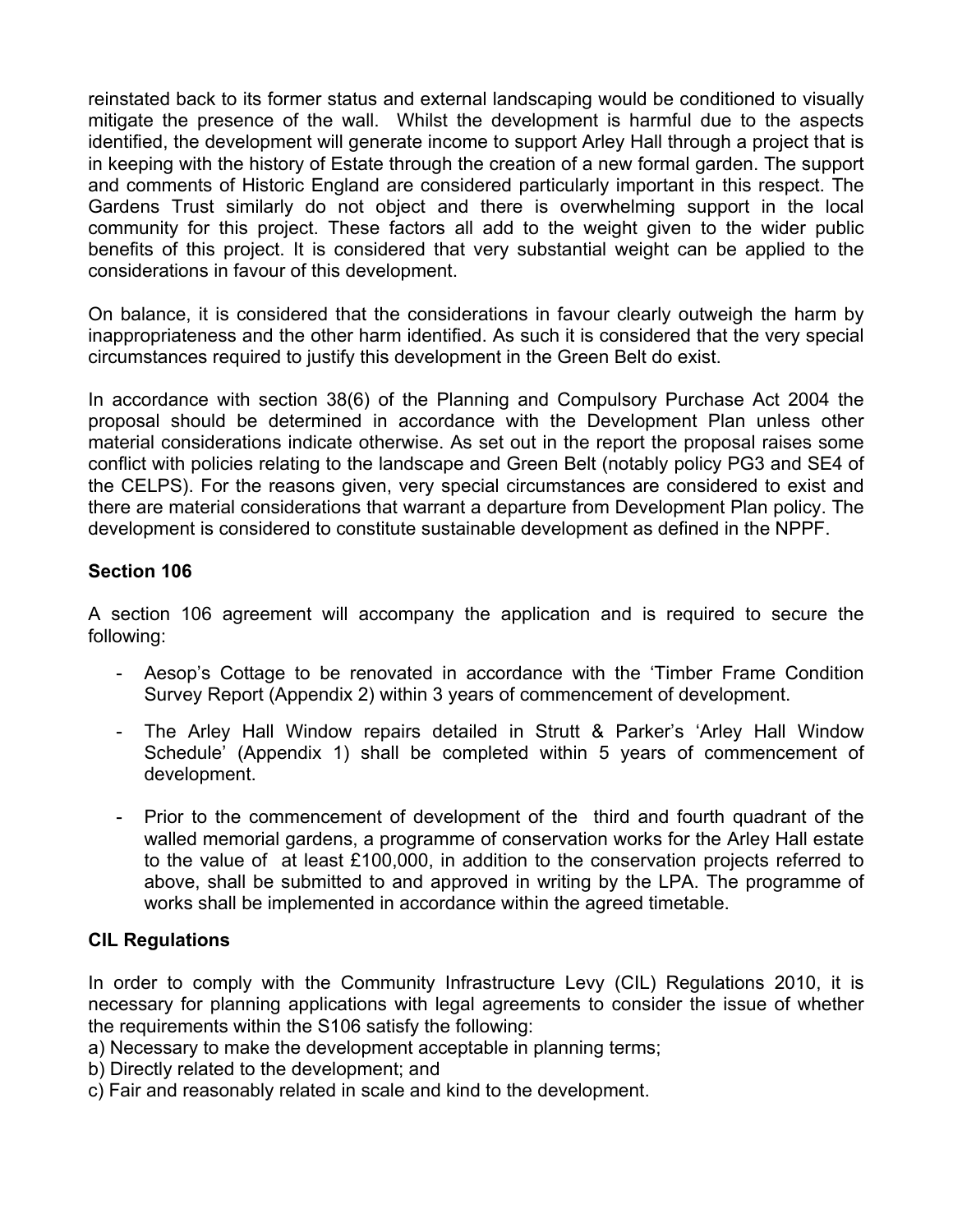reinstated back to its former status and external landscaping would be conditioned to visually mitigate the presence of the wall. Whilst the development is harmful due to the aspects identified, the development will generate income to support Arley Hall through a project that is in keeping with the history of Estate through the creation of a new formal garden. The support and comments of Historic England are considered particularly important in this respect. The Gardens Trust similarly do not object and there is overwhelming support in the local community for this project. These factors all add to the weight given to the wider public benefits of this project. It is considered that very substantial weight can be applied to the considerations in favour of this development.

On balance, it is considered that the considerations in favour clearly outweigh the harm by inappropriateness and the other harm identified. As such it is considered that the very special circumstances required to justify this development in the Green Belt do exist.

In accordance with section 38(6) of the Planning and Compulsory Purchase Act 2004 the proposal should be determined in accordance with the Development Plan unless other material considerations indicate otherwise. As set out in the report the proposal raises some conflict with policies relating to the landscape and Green Belt (notably policy PG3 and SE4 of the CELPS). For the reasons given, very special circumstances are considered to exist and there are material considerations that warrant a departure from Development Plan policy. The development is considered to constitute sustainable development as defined in the NPPF.

# **Section 106**

A section 106 agreement will accompany the application and is required to secure the following:

- Aesop's Cottage to be renovated in accordance with the 'Timber Frame Condition Survey Report (Appendix 2) within 3 years of commencement of development.
- The Arley Hall Window repairs detailed in Strutt & Parker's 'Arley Hall Window Schedule' (Appendix 1) shall be completed within 5 years of commencement of development.
- Prior to the commencement of development of the third and fourth quadrant of the walled memorial gardens, a programme of conservation works for the Arley Hall estate to the value of at least £100,000, in addition to the conservation projects referred to above, shall be submitted to and approved in writing by the LPA. The programme of works shall be implemented in accordance within the agreed timetable.

# **CIL Regulations**

In order to comply with the Community Infrastructure Levy (CIL) Regulations 2010, it is necessary for planning applications with legal agreements to consider the issue of whether the requirements within the S106 satisfy the following:

a) Necessary to make the development acceptable in planning terms;

- b) Directly related to the development; and
- c) Fair and reasonably related in scale and kind to the development.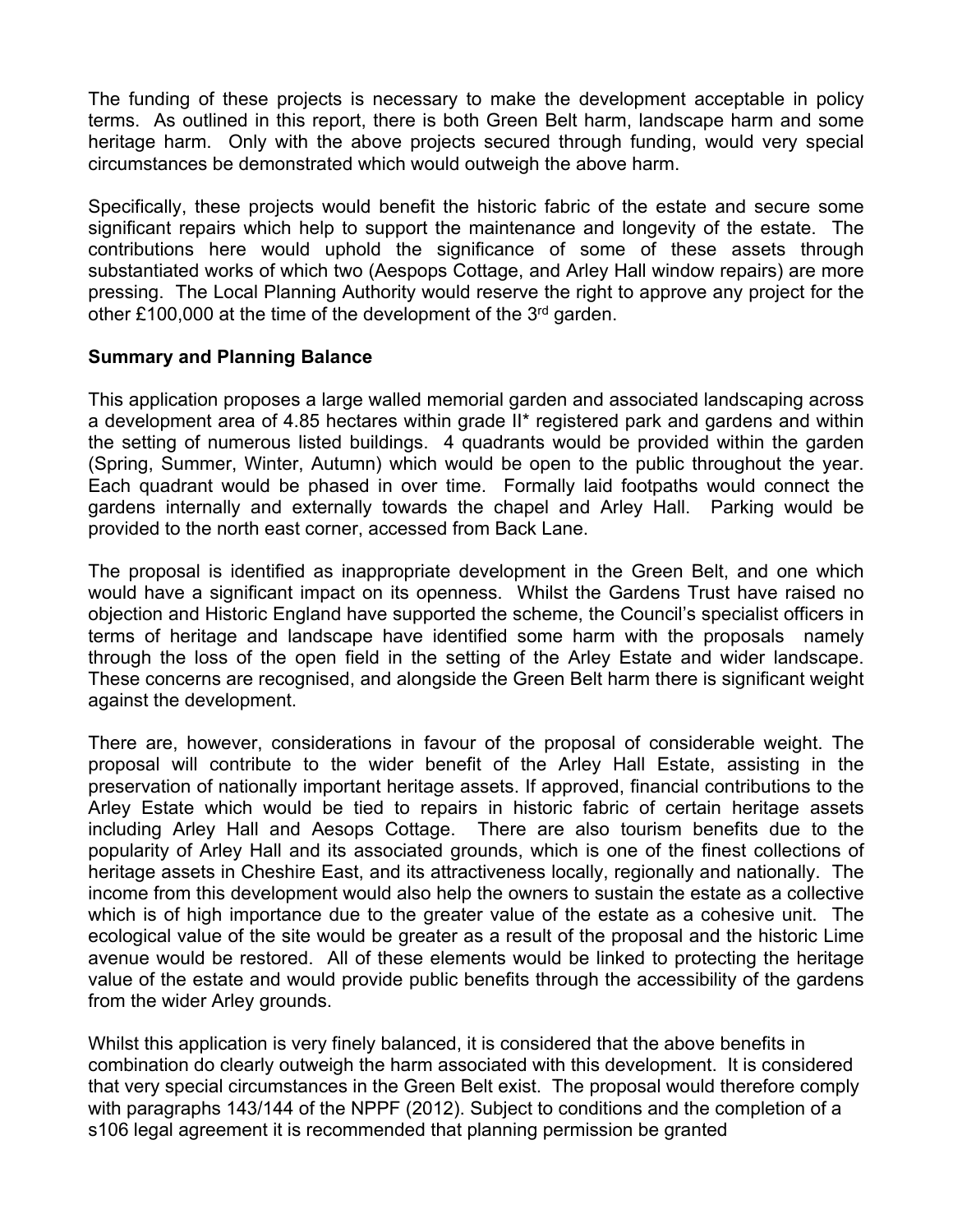The funding of these projects is necessary to make the development acceptable in policy terms. As outlined in this report, there is both Green Belt harm, landscape harm and some heritage harm. Only with the above projects secured through funding, would very special circumstances be demonstrated which would outweigh the above harm.

Specifically, these projects would benefit the historic fabric of the estate and secure some significant repairs which help to support the maintenance and longevity of the estate. The contributions here would uphold the significance of some of these assets through substantiated works of which two (Aespops Cottage, and Arley Hall window repairs) are more pressing. The Local Planning Authority would reserve the right to approve any project for the other £100,000 at the time of the development of the 3<sup>rd</sup> garden.

### **Summary and Planning Balance**

This application proposes a large walled memorial garden and associated landscaping across a development area of 4.85 hectares within grade II\* registered park and gardens and within the setting of numerous listed buildings. 4 quadrants would be provided within the garden (Spring, Summer, Winter, Autumn) which would be open to the public throughout the year. Each quadrant would be phased in over time. Formally laid footpaths would connect the gardens internally and externally towards the chapel and Arley Hall. Parking would be provided to the north east corner, accessed from Back Lane.

The proposal is identified as inappropriate development in the Green Belt, and one which would have a significant impact on its openness. Whilst the Gardens Trust have raised no objection and Historic England have supported the scheme, the Council's specialist officers in terms of heritage and landscape have identified some harm with the proposals namely through the loss of the open field in the setting of the Arley Estate and wider landscape. These concerns are recognised, and alongside the Green Belt harm there is significant weight against the development.

There are, however, considerations in favour of the proposal of considerable weight. The proposal will contribute to the wider benefit of the Arley Hall Estate, assisting in the preservation of nationally important heritage assets. If approved, financial contributions to the Arley Estate which would be tied to repairs in historic fabric of certain heritage assets including Arley Hall and Aesops Cottage. There are also tourism benefits due to the popularity of Arley Hall and its associated grounds, which is one of the finest collections of heritage assets in Cheshire East, and its attractiveness locally, regionally and nationally. The income from this development would also help the owners to sustain the estate as a collective which is of high importance due to the greater value of the estate as a cohesive unit. The ecological value of the site would be greater as a result of the proposal and the historic Lime avenue would be restored. All of these elements would be linked to protecting the heritage value of the estate and would provide public benefits through the accessibility of the gardens from the wider Arley grounds.

Whilst this application is very finely balanced, it is considered that the above benefits in combination do clearly outweigh the harm associated with this development. It is considered that very special circumstances in the Green Belt exist. The proposal would therefore comply with paragraphs 143/144 of the NPPF (2012). Subject to conditions and the completion of a s106 legal agreement it is recommended that planning permission be granted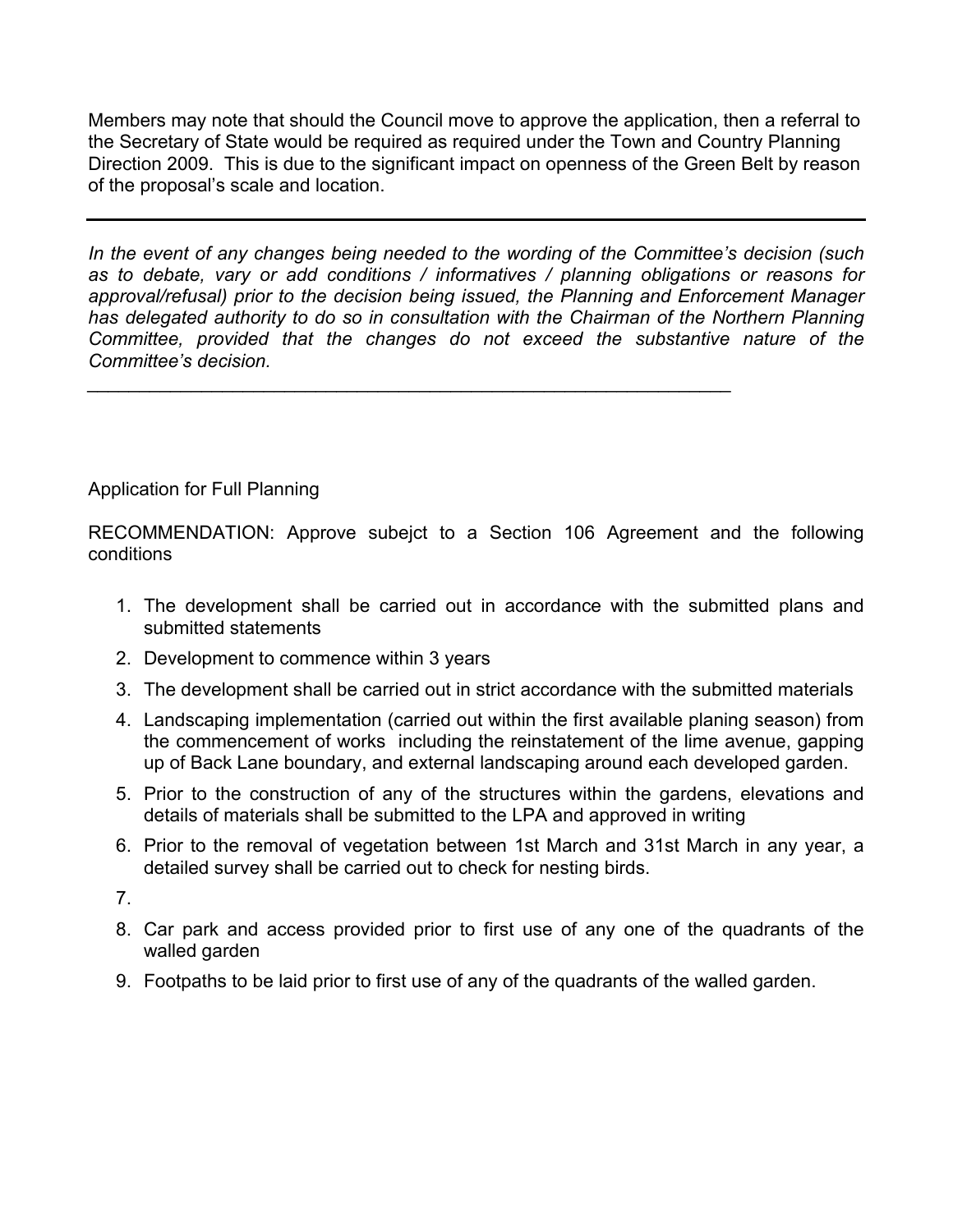Members may note that should the Council move to approve the application, then a referral to the Secretary of State would be required as required under the Town and Country Planning Direction 2009. This is due to the significant impact on openness of the Green Belt by reason of the proposal's scale and location.

*In the event of any changes being needed to the wording of the Committee's decision (such as to debate, vary or add conditions / informatives / planning obligations or reasons for approval/refusal) prior to the decision being issued, the Planning and Enforcement Manager has delegated authority to do so in consultation with the Chairman of the Northern Planning Committee, provided that the changes do not exceed the substantive nature of the Committee's decision.*

*\_\_\_\_\_\_\_\_\_\_\_\_\_\_\_\_\_\_\_\_\_\_\_\_\_\_\_\_\_\_\_\_\_\_\_\_\_\_\_\_\_\_\_\_\_\_\_\_\_\_\_\_\_\_\_\_\_\_\_\_\_\_*

# Application for Full Planning

RECOMMENDATION: Approve subejct to a Section 106 Agreement and the following conditions

- 1. The development shall be carried out in accordance with the submitted plans and submitted statements
- 2. Development to commence within 3 years
- 3. The development shall be carried out in strict accordance with the submitted materials
- 4. Landscaping implementation (carried out within the first available planing season) from the commencement of works including the reinstatement of the lime avenue, gapping up of Back Lane boundary, and external landscaping around each developed garden.
- 5. Prior to the construction of any of the structures within the gardens, elevations and details of materials shall be submitted to the LPA and approved in writing
- 6. Prior to the removal of vegetation between 1st March and 31st March in any year, a detailed survey shall be carried out to check for nesting birds.

7.

- 8. Car park and access provided prior to first use of any one of the quadrants of the walled garden
- 9. Footpaths to be laid prior to first use of any of the quadrants of the walled garden.